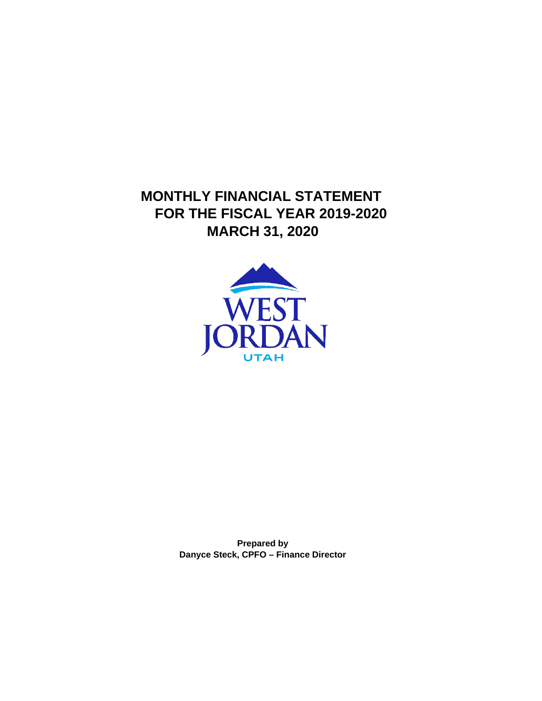**MONTHLY FINANCIAL STATEMENT FOR THE FISCAL YEAR 2019-2020 MARCH 31, 2020**



**Prepared by Danyce Steck, CPFO – Finance Director**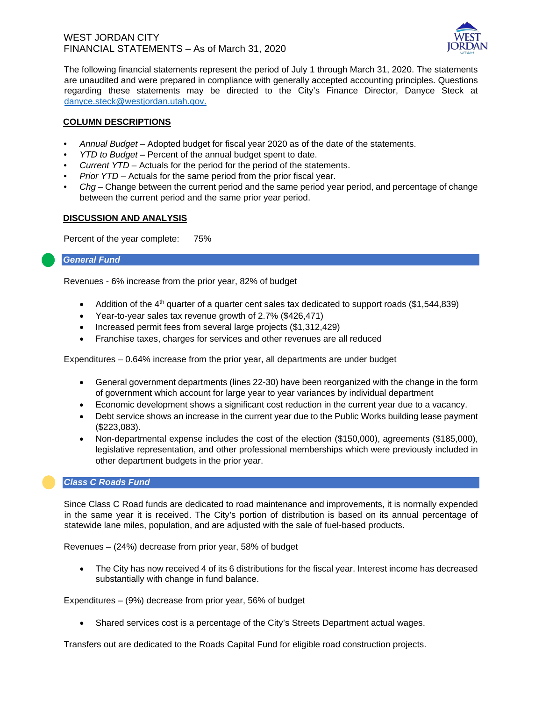#### WEST JORDAN CITY FINANCIAL STATEMENTS – As of March 31, 2020



The following financial statements represent the period of July 1 through March 31, 2020. The statements are unaudited and were prepared in compliance with generally accepted accounting principles. Questions regarding these statements may be directed to the City's Finance Director, Danyce Steck at danyce.steck@westjordan.utah.gov.

#### **COLUMN DESCRIPTIONS**

- *Annual Budget* Adopted budget for fiscal year 2020 as of the date of the statements.
- *YTD to Budget* Percent of the annual budget spent to date.
- *Current YTD* Actuals for the period for the period of the statements.
- *Prior YTD* Actuals for the same period from the prior fiscal year.
- *Chg*  Change between the current period and the same period year period, and percentage of change between the current period and the same prior year period.

#### **DISCUSSION AND ANALYSIS**

Percent of the year complete: 75%

#### *General Fund*

Revenues - 6% increase from the prior year, 82% of budget

- Addition of the 4<sup>th</sup> quarter of a quarter cent sales tax dedicated to support roads  $(\$1,544,839)$
- Year-to-year sales tax revenue growth of 2.7% (\$426,471)
- Increased permit fees from several large projects (\$1,312,429)
- Franchise taxes, charges for services and other revenues are all reduced

Expenditures – 0.64% increase from the prior year, all departments are under budget

- General government departments (lines 22-30) have been reorganized with the change in the form of government which account for large year to year variances by individual department
- Economic development shows a significant cost reduction in the current year due to a vacancy.
- Debt service shows an increase in the current year due to the Public Works building lease payment (\$223,083).
- Non-departmental expense includes the cost of the election (\$150,000), agreements (\$185,000), legislative representation, and other professional memberships which were previously included in other department budgets in the prior year.

#### *Class C Roads Fund*

Since Class C Road funds are dedicated to road maintenance and improvements, it is normally expended in the same year it is received. The City's portion of distribution is based on its annual percentage of statewide lane miles, population, and are adjusted with the sale of fuel-based products.

Revenues – (24%) decrease from prior year, 58% of budget

• The City has now received 4 of its 6 distributions for the fiscal year. Interest income has decreased substantially with change in fund balance.

Expenditures – (9%) decrease from prior year, 56% of budget

• Shared services cost is a percentage of the City's Streets Department actual wages.

Transfers out are dedicated to the Roads Capital Fund for eligible road construction projects.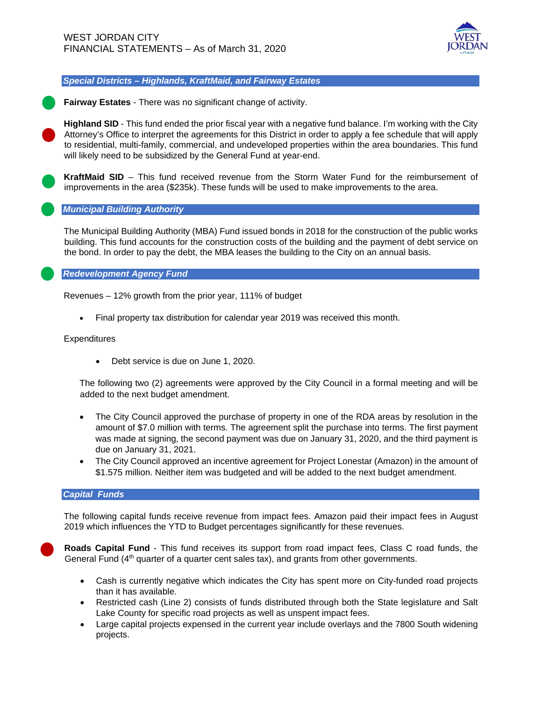

*Special Districts – Highlands, KraftMaid, and Fairway Estates*

**Fairway Estates** - There was no significant change of activity.

**Highland SID** - This fund ended the prior fiscal year with a negative fund balance. I'm working with the City Attorney's Office to interpret the agreements for this District in order to apply a fee schedule that will apply to residential, multi-family, commercial, and undeveloped properties within the area boundaries. This fund will likely need to be subsidized by the General Fund at year-end.

**KraftMaid SID** – This fund received revenue from the Storm Water Fund for the reimbursement of improvements in the area (\$235k). These funds will be used to make improvements to the area.

#### *Municipal Building Authority*

The Municipal Building Authority (MBA) Fund issued bonds in 2018 for the construction of the public works building. This fund accounts for the construction costs of the building and the payment of debt service on the bond. In order to pay the debt, the MBA leases the building to the City on an annual basis.

*Redevelopment Agency Fund*

Revenues – 12% growth from the prior year, 111% of budget

• Final property tax distribution for calendar year 2019 was received this month.

**Expenditures** 

• Debt service is due on June 1, 2020.

The following two (2) agreements were approved by the City Council in a formal meeting and will be added to the next budget amendment.

- The City Council approved the purchase of property in one of the RDA areas by resolution in the amount of \$7.0 million with terms. The agreement split the purchase into terms. The first payment was made at signing, the second payment was due on January 31, 2020, and the third payment is due on January 31, 2021.
- The City Council approved an incentive agreement for Project Lonestar (Amazon) in the amount of \$1.575 million. Neither item was budgeted and will be added to the next budget amendment.

#### *Capital Funds*

The following capital funds receive revenue from impact fees. Amazon paid their impact fees in August 2019 which influences the YTD to Budget percentages significantly for these revenues.

**Roads Capital Fund** - This fund receives its support from road impact fees, Class C road funds, the General Fund  $(4<sup>th</sup>$  quarter of a quarter cent sales tax), and grants from other governments.

- Cash is currently negative which indicates the City has spent more on City-funded road projects than it has available.
- Restricted cash (Line 2) consists of funds distributed through both the State legislature and Salt Lake County for specific road projects as well as unspent impact fees.
- Large capital projects expensed in the current year include overlays and the 7800 South widening projects.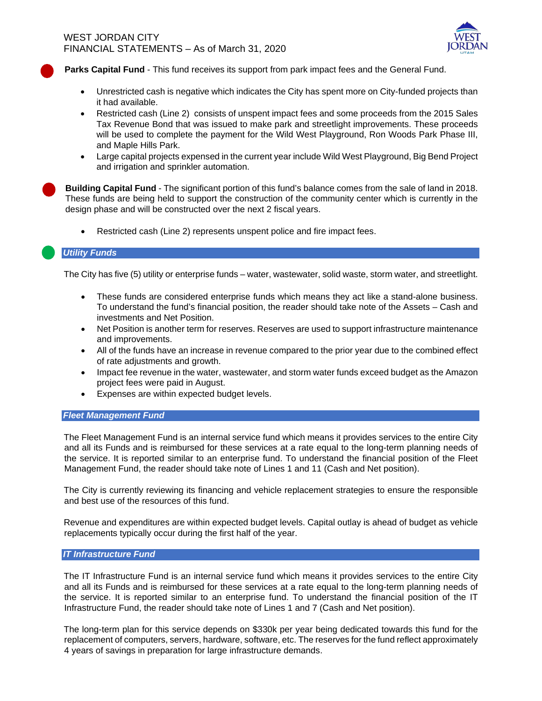

**Parks Capital Fund** - This fund receives its support from park impact fees and the General Fund.

- Unrestricted cash is negative which indicates the City has spent more on City-funded projects than it had available.
- Restricted cash (Line 2) consists of unspent impact fees and some proceeds from the 2015 Sales Tax Revenue Bond that was issued to make park and streetlight improvements. These proceeds will be used to complete the payment for the Wild West Playground, Ron Woods Park Phase III, and Maple Hills Park.
- Large capital projects expensed in the current year include Wild West Playground, Big Bend Project and irrigation and sprinkler automation.

**Building Capital Fund** - The significant portion of this fund's balance comes from the sale of land in 2018. These funds are being held to support the construction of the community center which is currently in the design phase and will be constructed over the next 2 fiscal years.

• Restricted cash (Line 2) represents unspent police and fire impact fees.

#### *Utility Funds*

The City has five (5) utility or enterprise funds – water, wastewater, solid waste, storm water, and streetlight.

- These funds are considered enterprise funds which means they act like a stand-alone business. To understand the fund's financial position, the reader should take note of the Assets – Cash and investments and Net Position.
- Net Position is another term for reserves. Reserves are used to support infrastructure maintenance and improvements.
- All of the funds have an increase in revenue compared to the prior year due to the combined effect of rate adjustments and growth.
- Impact fee revenue in the water, wastewater, and storm water funds exceed budget as the Amazon project fees were paid in August.
- Expenses are within expected budget levels.

#### *Fleet Management Fund*

The Fleet Management Fund is an internal service fund which means it provides services to the entire City and all its Funds and is reimbursed for these services at a rate equal to the long-term planning needs of the service. It is reported similar to an enterprise fund. To understand the financial position of the Fleet Management Fund, the reader should take note of Lines 1 and 11 (Cash and Net position).

The City is currently reviewing its financing and vehicle replacement strategies to ensure the responsible and best use of the resources of this fund.

Revenue and expenditures are within expected budget levels. Capital outlay is ahead of budget as vehicle replacements typically occur during the first half of the year.

#### *IT Infrastructure Fund*

The IT Infrastructure Fund is an internal service fund which means it provides services to the entire City and all its Funds and is reimbursed for these services at a rate equal to the long-term planning needs of the service. It is reported similar to an enterprise fund. To understand the financial position of the IT Infrastructure Fund, the reader should take note of Lines 1 and 7 (Cash and Net position).

The long-term plan for this service depends on \$330k per year being dedicated towards this fund for the replacement of computers, servers, hardware, software, etc. The reserves for the fund reflect approximately 4 years of savings in preparation for large infrastructure demands.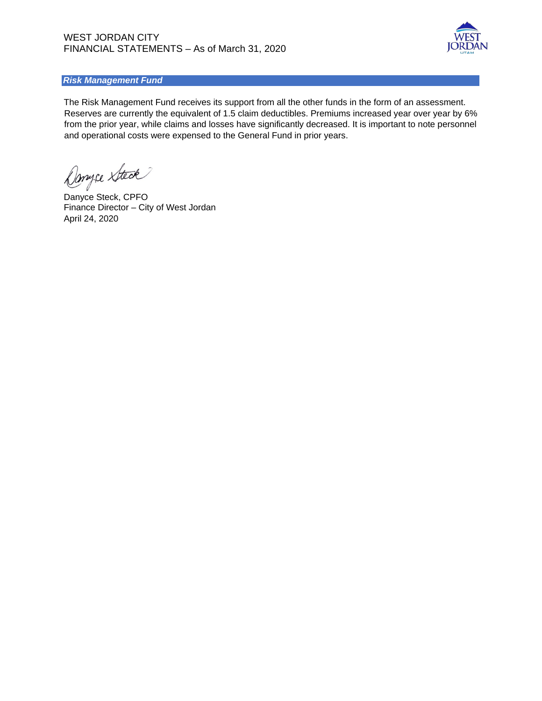

#### *Risk Management Fund*

The Risk Management Fund receives its support from all the other funds in the form of an assessment. Reserves are currently the equivalent of 1.5 claim deductibles. Premiums increased year over year by 6% from the prior year, while claims and losses have significantly decreased. It is important to note personnel and operational costs were expensed to the General Fund in prior years.

Danyce Steck

Danyce Steck, CPFO Finance Director – City of West Jordan April 24, 2020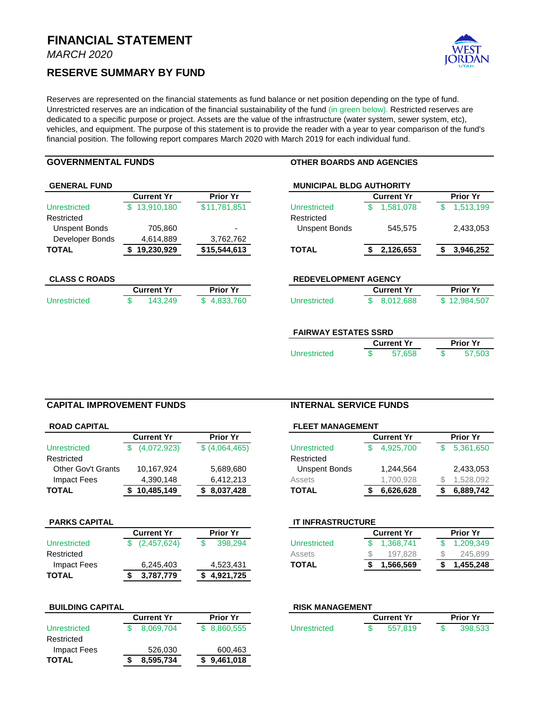*MARCH 2020*

#### **RESERVE SUMMARY BY FUND**



Reserves are represented on the financial statements as fund balance or net position depending on the type of fund. Unrestricted reserves are an indication of the financial sustainability of the fund (in green below). Restricted reserves are dedicated to a specific purpose or project. Assets are the value of the infrastructure (water system, sewer system, etc), vehicles, and equipment. The purpose of this statement is to provide the reader with a year to year comparison of the fund's financial position. The following report compares March 2020 with March 2019 for each individual fund.

#### **GOVERNMENTAL FUNDS OTHER BOARDS AND AGENCIES**

|                      | <b>Current Yr</b> | <b>Prior Yr</b> |                             | <b>Current Yr</b> | <b>Prior Yr</b> |
|----------------------|-------------------|-----------------|-----------------------------|-------------------|-----------------|
| Unrestricted         | \$13,910,180      | \$11,781,851    | Unrestricted                | 1,581,078<br>\$   | 1,513,199<br>\$ |
| Restricted           |                   |                 | Restricted                  |                   |                 |
| <b>Unspent Bonds</b> | 705,860           |                 | <b>Unspent Bonds</b>        | 545,575           | 2,433,053       |
| Developer Bonds      | 4,614,889         | 3,762,762       |                             |                   |                 |
| TOTAL                | 19,230,929        | \$15,544,613    | <b>TOTAL</b>                | 2,126,653<br>S    | 3,946,252<br>S  |
| <b>CLASS C ROADS</b> |                   |                 | <b>REDEVELOPMENT AGENCY</b> |                   |                 |
|                      | <b>Current Yr</b> | <b>Prior Yr</b> |                             | <b>Current Yr</b> | <b>Prior Yr</b> |
| <b>Unrestricted</b>  | 143.249<br>S      | \$4,833,760     | Unrestricted                | 8,012,688<br>S    | \$12,984,507    |

| <b>FAIRWAY ESTATES SSRD</b> |      |  |  |  |
|-----------------------------|------|--|--|--|
| <b>Current Yr</b>           | Prio |  |  |  |

|              | <b>Current Yr</b> | <b>Prior Yr</b> |        |  |
|--------------|-------------------|-----------------|--------|--|
| Unrestricted | 57.658            |                 | 57.503 |  |

#### **CAPITAL IMPROVEMENT FUNDS INTERNAL SERVICE FUNDS**

| <b>ROAD CAPITAL</b> |                   |                 | <b>FLEET MANAGEMENT</b> |  |                   |                 |           |  |
|---------------------|-------------------|-----------------|-------------------------|--|-------------------|-----------------|-----------|--|
|                     | <b>Current Yr</b> | <b>Prior Yr</b> |                         |  | <b>Current Yr</b> | <b>Prior Yr</b> |           |  |
| Unrestricted        | (4,072,923)       | \$ (4,064,465)  | Unrestricted            |  | 4.925.700         |                 | 5,361,650 |  |
| Restricted          |                   |                 | Restricted              |  |                   |                 |           |  |
| Other Gov't Grants  | 10,167,924        | 5,689,680       | Unspent Bonds           |  | 1.244.564         |                 | 2,433,053 |  |
| Impact Fees         | 4,390,148         | 6.412.213       | Assets                  |  | 1.700.928         |                 | 1,528,092 |  |
| TOTAL               | \$10,485,149      | 8,037,428       | <b>TOTAL</b>            |  | 6,626,628         |                 | 6,889,742 |  |
|                     |                   |                 |                         |  |                   |                 |           |  |

|              | <b>Current Yr</b> | <b>Prior Yr</b> |              | <b>Current Yr</b> | <b>Prior Yr</b> |  |  |
|--------------|-------------------|-----------------|--------------|-------------------|-----------------|--|--|
| Unrestricted | (2,457,624)       | 398.294         | Unrestricted | 1,368,741         | 1,209,349       |  |  |
| Restricted   |                   |                 | Assets       | 197.828           | 245,899         |  |  |
| Impact Fees  | 6,245,403         | 4.523.431       | <b>TOTAL</b> | 1.566.569         | 1,455,248       |  |  |
| <b>TOTAL</b> | 3,787,779         | 4,921,725       |              |                   |                 |  |  |

#### **BUILDING CAPITAL**

|              | <b>Current Yr</b> |           | <b>Prior Yr</b> |              | <b>Current Yr</b> | <b>Prior Yr</b> |         |
|--------------|-------------------|-----------|-----------------|--------------|-------------------|-----------------|---------|
| Unrestricted |                   | 8.069.704 | \$ 8,860,555    | Unrestricted | 557.819           |                 | 398,533 |
| Restricted   |                   |           |                 |              |                   |                 |         |
| Impact Fees  |                   | 526,030   | 600.463         |              |                   |                 |         |
| <b>TOTAL</b> |                   | 8.595.734 | \$9,461,018     |              |                   |                 |         |

|                 | <b>FLEET MANAGEMENT</b> |                   |                 |  |
|-----------------|-------------------------|-------------------|-----------------|--|
| <b>Prior Yr</b> |                         | <b>Current Yr</b> | <b>Prior Yr</b> |  |
| \$ (4,064,465)  | Unrestricted            | 4.925.700         | 5,361,650       |  |
|                 | Restricted              |                   |                 |  |
| 5,689,680       | Unspent Bonds           | 1,244,564         | 2,433,053       |  |
| 6,412,213       | Assets                  | 1,700,928         | ,528,092        |  |
| \$8,037,428     | <b>TOTAL</b>            | 6,626,628         | 6,889,742       |  |
|                 |                         |                   |                 |  |

#### **PARKS CAPITAL IT INFRASTRUCTURE**

|             | <b>Current Yr</b> | <b>Prior Yr</b> |              | <b>Current Yr</b> | <b>Prior Yr</b> |  |  |
|-------------|-------------------|-----------------|--------------|-------------------|-----------------|--|--|
| nrestricted | (2,457,624)       | 398,294         | Unrestricted | \$ 1.368,741      | 1.209.349       |  |  |
| estricted   |                   |                 | Assets       | 197.828           | 245,899         |  |  |
| Impact Fees | 6,245,403         | 4,523,431       | <b>TOTAL</b> | 1,566,569         | 1,455,248       |  |  |

| <b>RISK MANAGEMENT</b> |                 |              |                   |         |  |         |  |
|------------------------|-----------------|--------------|-------------------|---------|--|---------|--|
| Current Yr             | <b>Prior Yr</b> |              | <b>Current Yr</b> |         |  |         |  |
| 8.069.704              | \$ 8.860,555    | Unrestricted |                   | 557.819 |  | 398,533 |  |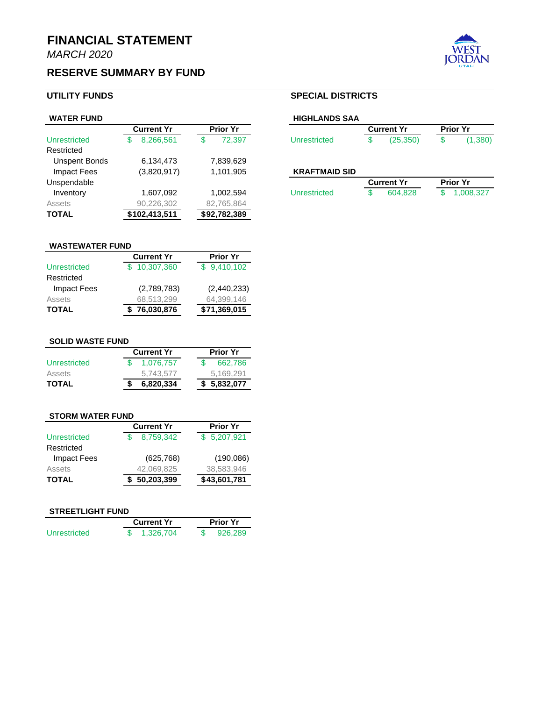# **RESERVE SUMMARY BY FUND**

| <b>WATER FUND</b>    |                   |                 | <b>HIGHLANDS SAA</b> |    |                   |                 |
|----------------------|-------------------|-----------------|----------------------|----|-------------------|-----------------|
|                      | <b>Current Yr</b> | <b>Prior Yr</b> |                      |    | <b>Current Yr</b> | <b>Prior Yr</b> |
| Unrestricted         | 8.266.561<br>S    | 72.397<br>S     | Unrestricted         | ۰D | (25,350)          | \$              |
| Restricted           |                   |                 |                      |    |                   |                 |
| <b>Unspent Bonds</b> | 6,134,473         | 7,839,629       |                      |    |                   |                 |
| Impact Fees          | (3,820,917)       | 1,101,905       | <b>KRAFTMAID SID</b> |    |                   |                 |
| Unspendable          |                   |                 |                      |    | <b>Current Yr</b> | <b>Prior Yr</b> |
| Inventory            | 1,607,092         | 1,002,594       | Unrestricted         |    | 604.828           | 1,00            |
| <b>Assets</b>        | 90,226,302        | 82,765,864      |                      |    |                   |                 |
| <b>TOTAL</b>         | \$102,413,511     | \$92,782,389    |                      |    |                   |                 |

#### **UTILITY FUNDS SPECIAL DISTRICTS**

| <b>WATER FUND</b>   |                   |           |          | <b>HIGHLANDS SAA</b> |              |                   |          |                 |         |
|---------------------|-------------------|-----------|----------|----------------------|--------------|-------------------|----------|-----------------|---------|
|                     | <b>Current Yr</b> |           | Prior Yr |                      |              | <b>Current Yr</b> |          | <b>Prior Yr</b> |         |
| <b>Unrestricted</b> |                   | 8.266.561 |          | 72.397               | Unrestricted |                   | (25.350) |                 | (1,380) |

#### **KRAFTMAID SID**

| nspendable |          |          |              | <b>Current Yr</b> |         |  | <b>Prior Yr</b> |  |  |
|------------|----------|----------|--------------|-------------------|---------|--|-----------------|--|--|
| Inventory  | .607,092 | .002.594 | Unrestricted |                   | 604.828 |  | 1,008,327       |  |  |

# **WASTEWATER FUND**

|                    | <b>Current Yr</b> | <b>Prior Yr</b> |  |  |
|--------------------|-------------------|-----------------|--|--|
| Unrestricted       | \$10,307,360      | \$9,410,102     |  |  |
| Restricted         |                   |                 |  |  |
| <b>Impact Fees</b> | (2,789,783)       | (2,440,233)     |  |  |
| Assets             | 68,513,299        | 64,399,146      |  |  |
| <b>TOTAL</b>       | \$76,030,876      | \$71,369,015    |  |  |
|                    |                   |                 |  |  |

# **SOLID WASTE FUND**

|              | <b>Current Yr</b> | <b>Prior Yr</b> |              |  |  |
|--------------|-------------------|-----------------|--------------|--|--|
| Unrestricted | 1.076.757         |                 | 662.786      |  |  |
| Assets       | 5.743.577         |                 | 5.169.291    |  |  |
| <b>TOTAL</b> | 6,820,334         |                 | \$ 5,832,077 |  |  |

#### **STORM WATER FUND**

|                     | <b>Current Yr</b> | <b>Prior Yr</b> |
|---------------------|-------------------|-----------------|
| <b>Unrestricted</b> | 8.759.342         | \$5,207,921     |
| Restricted          |                   |                 |
| <b>Impact Fees</b>  | (625, 768)        | (190,086)       |
| Assets              | 42,069,825        | 38,583,946      |
| <b>TOTAL</b>        | 50,203,399        | \$43,601,781    |

#### **STREETLIGHT FUND**

|              | <b>Current Yr</b> | <b>Prior Yr</b> |         |  |  |  |
|--------------|-------------------|-----------------|---------|--|--|--|
| Unrestricted | 1.326.704         |                 | 926,289 |  |  |  |

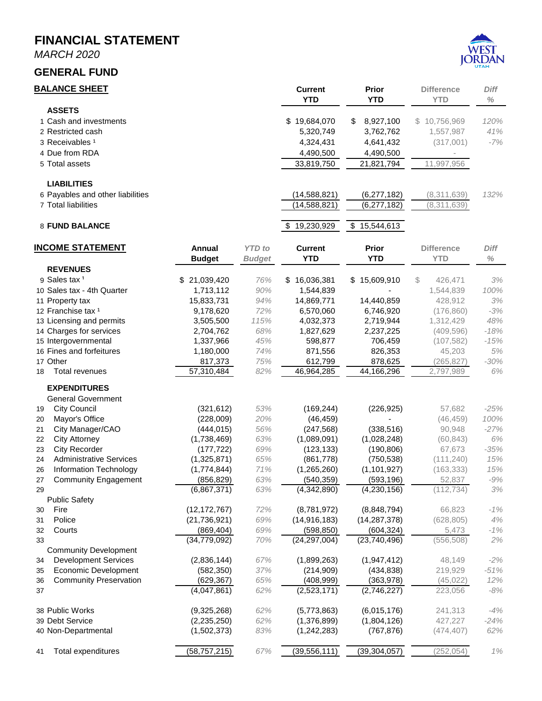*MARCH 2020*

#### **GENERAL FUND**



#### **BALANCE SHEET Current Prior Difference** *Diff* **YTD YTD YTD** *%* **ASSETS** Cash and investments \$ 19,684,070 \$ 8,927,100 \$ 10,756,969 *120%* Restricted cash 5,320,749 3,762,762 1,557,987 *41%* Receivables ¹ 4,324,431 4,641,432 (317,001) *-7%* Due from RDA 4,490,500 4,490,500 - Total assets 33,819,750 21,821,794 11,997,956 **LIABILITIES** Payables and other liabilities (14,588,821) (6,277,182) (8,311,639) *132%* 7 Total liabilities (14,588,821)  $(14,588,821)$   $(6,277,182)$   $(8,311,639)$ **FUND BALANCE 8 19,230,929** \$ 15,544,613 **INCOME STATEMENT Annual** *YTD to* **Current Prior Difference** *Diff* **Budget** *Budget* **YTD YTD YTD** *%* **REVENUES** Sales tax ¹ \$ 21,039,420 *76%* \$ 16,036,381 \$ 15,609,910 \$ 426,471 *3%* Sales tax - 4th Quarter 1,713,112 *90%* 1,544,839 - 1,544,839 *100%* Property tax 15,833,731 *94%* 14,869,771 14,440,859 428,912 *3%* Franchise tax ¹ 9,178,620 *72%* 6,570,060 6,746,920 (176,860) *-3%* Licensing and permits 3,505,500 *115%* 4,032,373 2,719,944 1,312,429 *48%* Charges for services 2,704,762 *68%* 1,827,629 2,237,225 (409,596) *-18%* Intergovernmental 1,337,966 *45%* 598,877 706,459 (107,582) *-15%* Fines and forfeitures 1,180,000 *74%* 871,556 826,353 45,203 *5%* Other 817,373 *75%* 612,799 878,625 (265,827) *-30%* Total revenues 57,310,484 *82%* 46,964,285 44,166,296 2,797,989 *6%* **EXPENDITURES** General Government City Council (321,612) *53%* (169,244) (226,925) 57,682 *-25%* Mayor's Office (228,009) *20%* (46,459) - (46,459) *100%* City Manager/CAO (444,015) *56%* (247,568) (338,516) 90,948 *-27%* City Attorney (1,738,469) *63%* (1,089,091) (1,028,248) (60,843) *6%* City Recorder (177,722) *69%* (123,133) (190,806) 67,673 *-35%* Administrative Services (1,325,871) *65%* (861,778) (750,538) (111,240) *15%* Information Technology (1,774,844) *71%* (1,265,260) (1,101,927) (163,333) *15%* Community Engagement (856,829) *63%* (540,359) (593,196) 52,837 *-9%* 29 (6,867,371) *63%* (4,342,890) (4,230,156) (112,734) *3%* Public Safety Fire (12,172,767) *72%* (8,781,972) (8,848,794) 66,823 *-1%* Police (21,736,921) *69%* (14,916,183) (14,287,378) (628,805) *4%* Courts (869,404) *69%* (598,850) (604,324) 5,473 *-1%* 33 (34,779,092) *70%* (24,297,004) (23,740,496) (556,508) *2%* Community Development Development Services (2,836,144) *67%* (1,899,263) (1,947,412) 48,149 *-2%* Economic Development (582,350) *37%* (214,909) (434,838) 219,929 *-51%* Community Preservation (629,367) *65%* (408,999) (363,978) (45,022) *12%* 37 (4,047,861) *62%* (2,523,171) (2,746,227) 223,056 *-8%* Public Works (9,325,268) *62%* (5,773,863) (6,015,176) 241,313 *-4%* Debt Service (2,235,250) *62%* (1,376,899) (1,804,126) 427,227 *-24%* Non-Departmental (1,502,373) *83%* (1,242,283) (767,876) (474,407) *62%*

Total expenditures (58,757,215) *67%* (39,556,111) (39,304,057) (252,054) *1%*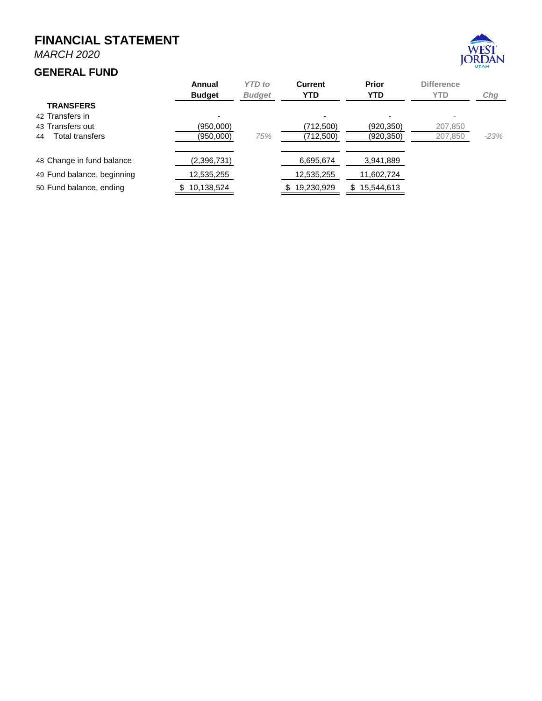*MARCH 2020*

# **GENERAL FUND**



|                            | <b>YTD</b> to<br>Annual<br><b>Budget</b><br><b>Budget</b> |     | <b>Current</b><br><b>YTD</b> | <b>Prior</b><br><b>YTD</b> | <b>Difference</b><br><b>YTD</b> | Chg    |  |
|----------------------------|-----------------------------------------------------------|-----|------------------------------|----------------------------|---------------------------------|--------|--|
| <b>TRANSFERS</b>           |                                                           |     |                              |                            |                                 |        |  |
| 42 Transfers in            |                                                           |     |                              | $\overline{\phantom{0}}$   |                                 |        |  |
| 43 Transfers out           | (950,000)                                                 |     | (712,500)                    | (920, 350)                 | 207,850                         |        |  |
| Total transfers<br>44      | (950,000)                                                 | 75% | (712,500)                    | (920, 350)                 | 207,850                         | $-23%$ |  |
|                            |                                                           |     |                              |                            |                                 |        |  |
| 48 Change in fund balance  | (2,396,731)                                               |     | 6,695,674                    | 3,941,889                  |                                 |        |  |
| 49 Fund balance, beginning | 12,535,255                                                |     | 12,535,255                   | 11,602,724                 |                                 |        |  |
| 50 Fund balance, ending    | 10,138,524                                                |     | 19,230,929                   | 15,544,613<br>SS           |                                 |        |  |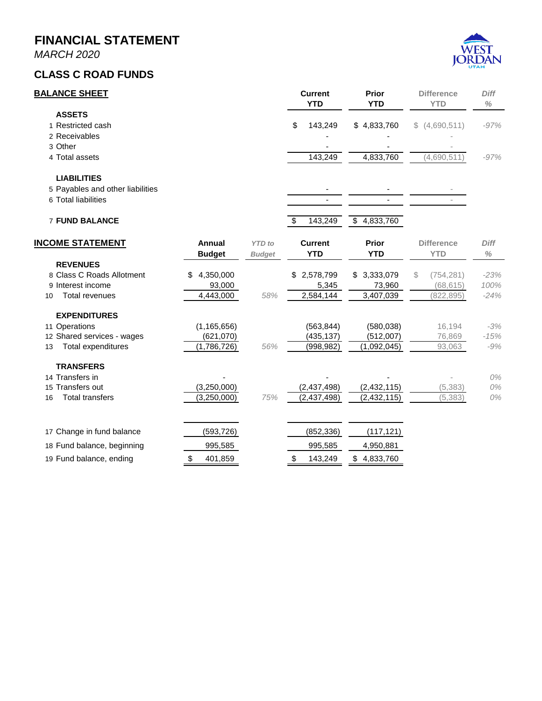*MARCH 2020*

## **CLASS C ROAD FUNDS**



| <b>BALANCE SHEET</b>                                |                     |               | <b>Current</b><br><b>YTD</b> | <b>Prior</b><br><b>YTD</b> | <b>Difference</b><br><b>YTD</b> | Diff<br>$\%$   |
|-----------------------------------------------------|---------------------|---------------|------------------------------|----------------------------|---------------------------------|----------------|
| <b>ASSETS</b><br>1 Restricted cash<br>2 Receivables |                     |               | \$<br>143,249                | \$4,833,760                | \$(4,690,511)                   | $-97%$         |
| 3 Other                                             |                     |               |                              |                            |                                 |                |
| 4 Total assets                                      |                     |               | 143,249                      | 4,833,760                  | (4,690,511)                     | $-97%$         |
| <b>LIABILITIES</b>                                  |                     |               |                              |                            |                                 |                |
| 5 Payables and other liabilities                    |                     |               |                              |                            |                                 |                |
| 6 Total liabilities                                 |                     |               |                              |                            |                                 |                |
| <b>7 FUND BALANCE</b>                               |                     |               | 143,249<br>\$                | \$4,833,760                |                                 |                |
| <b>INCOME STATEMENT</b>                             | Annual              | <b>YTD</b> to | <b>Current</b>               | <b>Prior</b>               | <b>Difference</b>               | Diff           |
|                                                     | <b>Budget</b>       | <b>Budget</b> | <b>YTD</b>                   | <b>YTD</b>                 | <b>YTD</b>                      | $\%$           |
| <b>REVENUES</b>                                     |                     |               |                              |                            |                                 |                |
| 8 Class C Roads Allotment<br>9 Interest income      | 4,350,000<br>93,000 |               | \$2,578,799<br>5,345         | \$3,333,079<br>73,960      | \$<br>(754, 281)<br>(68, 615)   | $-23%$<br>100% |
| <b>Total revenues</b><br>10                         | 4,443,000           | 58%           | 2,584,144                    | 3,407,039                  | (822, 895)                      | $-24%$         |
| <b>EXPENDITURES</b>                                 |                     |               |                              |                            |                                 |                |
| 11 Operations                                       | (1, 165, 656)       |               | (563, 844)                   | (580, 038)                 | 16,194                          | $-3%$          |
| 12 Shared services - wages                          | (621,070)           |               | (435, 137)                   | (512,007)                  | 76,869                          | $-15%$         |
| Total expenditures<br>13                            | (1,786,726)         | 56%           | (998,982)                    | (1,092,045)                | 93,063                          | $-9%$          |
| <b>TRANSFERS</b>                                    |                     |               |                              |                            |                                 |                |
| 14 Transfers in                                     |                     |               |                              |                            |                                 | 0%             |
| 15 Transfers out                                    | (3,250,000)         |               | (2,437,498)                  | (2, 432, 115)              | (5, 383)                        | $0\%$          |
| <b>Total transfers</b><br>16                        | (3,250,000)         | 75%           | (2,437,498)                  | (2, 432, 115)              | (5, 383)                        | $0\%$          |
| 17 Change in fund balance                           | (593, 726)          |               | (852, 336)                   | (117, 121)                 |                                 |                |
| 18 Fund balance, beginning                          | 995,585             |               | 995,585                      | 4,950,881                  |                                 |                |
| 19 Fund balance, ending                             | 401,859<br>\$       |               | \$<br>143,249                | \$4,833,760                |                                 |                |
|                                                     |                     |               |                              |                            |                                 |                |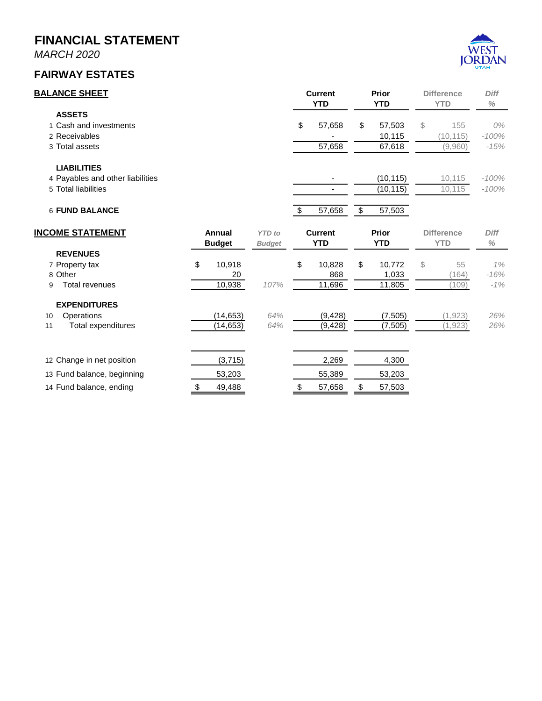*MARCH 2020*

# **FAIRWAY ESTATES**



| <b>BALANCE SHEET</b>             |    |               |               | <b>Current</b><br><b>YTD</b> |                | Prior<br><b>YTD</b> |                 | <b>Difference</b><br><b>YTD</b> |                   | <b>Diff</b><br>$\%$ |
|----------------------------------|----|---------------|---------------|------------------------------|----------------|---------------------|-----------------|---------------------------------|-------------------|---------------------|
| <b>ASSETS</b>                    |    |               |               |                              |                |                     |                 |                                 |                   |                     |
| 1 Cash and investments           |    |               |               | \$                           | 57,658         | \$                  | 57,503          | \$                              | 155               | 0%                  |
| 2 Receivables                    |    |               |               |                              |                |                     | 10,115          |                                 | (10, 115)         | $-100%$             |
| 3 Total assets                   |    |               |               |                              | 57,658         |                     | 67,618          |                                 | (9,960)           | $-15%$              |
| <b>LIABILITIES</b>               |    |               |               |                              |                |                     |                 |                                 |                   |                     |
| 4 Payables and other liabilities |    |               |               |                              |                |                     | (10, 115)       |                                 | 10,115            | $-100%$             |
| 5 Total liabilities              |    |               |               |                              |                |                     | (10, 115)       |                                 | 10,115            | $-100%$             |
| <b>6 FUND BALANCE</b>            |    |               |               | $\boldsymbol{\mathsf{\$}}$   | 57,658         | \$                  | 57,503          |                                 |                   |                     |
| <b>INCOME STATEMENT</b>          |    | Annual        | <b>YTD</b> to |                              | <b>Current</b> |                     | <b>Prior</b>    |                                 | <b>Difference</b> | Diff                |
|                                  |    | <b>Budget</b> | <b>Budget</b> |                              | <b>YTD</b>     |                     | <b>YTD</b>      |                                 | <b>YTD</b>        | $\%$                |
| <b>REVENUES</b>                  | \$ |               |               | \$                           |                |                     |                 | \$                              | 55                |                     |
| 7 Property tax<br>8 Other        |    | 10,918<br>20  |               |                              | 10,828<br>868  | \$                  | 10,772<br>1,033 |                                 | (164)             | 1%<br>$-16%$        |
| <b>Total revenues</b><br>9       |    | 10,938        | 107%          |                              | 11,696         |                     | 11,805          |                                 | (109)             | $-1%$               |
| <b>EXPENDITURES</b>              |    |               |               |                              |                |                     |                 |                                 |                   |                     |
| Operations<br>10                 |    | (14, 653)     | 64%           |                              | (9, 428)       |                     | (7, 505)        |                                 | (1, 923)          | 26%                 |
| Total expenditures<br>11         |    | (14, 653)     | 64%           |                              | (9, 428)       |                     | (7, 505)        |                                 | (1,923)           | 26%                 |
| 12 Change in net position        |    |               |               |                              | 2,269          |                     | 4,300           |                                 |                   |                     |
|                                  |    | (3,715)       |               |                              |                |                     |                 |                                 |                   |                     |
| 13 Fund balance, beginning       |    | 53,203        |               |                              | 55,389         |                     | 53,203          |                                 |                   |                     |
| 14 Fund balance, ending          | \$ | 49,488        |               | \$                           | 57,658         | \$                  | 57,503          |                                 |                   |                     |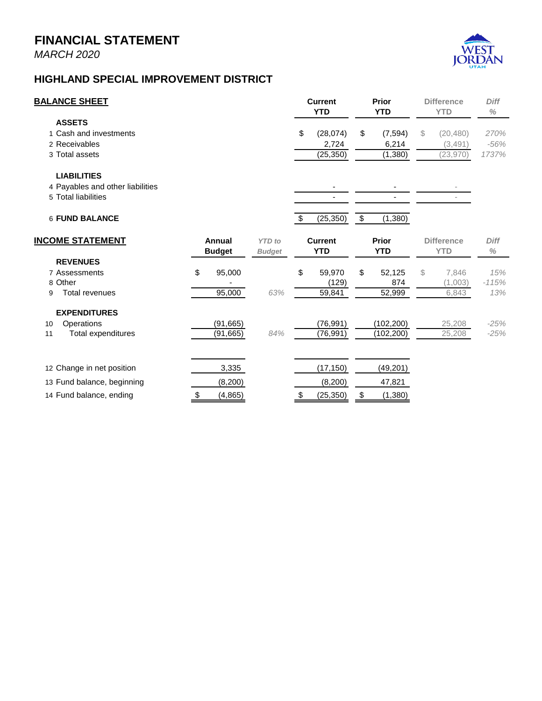*MARCH 2020*



## **HIGHLAND SPECIAL IMPROVEMENT DISTRICT**

| <b>BALANCE SHEET</b>                                                          |              |                         |                                | <b>Current</b><br><b>YTD</b> |                                | <b>Prior</b><br><b>YTD</b> |                              | <b>Difference</b><br><b>YTD</b> |                                   | <b>Diff</b><br>$\%$     |  |
|-------------------------------------------------------------------------------|--------------|-------------------------|--------------------------------|------------------------------|--------------------------------|----------------------------|------------------------------|---------------------------------|-----------------------------------|-------------------------|--|
| <b>ASSETS</b><br>1 Cash and investments<br>2 Receivables<br>3 Total assets    |              |                         |                                | \$                           | (28,074)<br>2,724<br>(25, 350) | \$                         | (7, 594)<br>6,214<br>(1,380) | \$                              | (20, 480)<br>(3,491)<br>(23, 970) | 270%<br>$-56%$<br>1737% |  |
| <b>LIABILITIES</b><br>4 Payables and other liabilities<br>5 Total liabilities |              |                         |                                |                              |                                |                            |                              |                                 |                                   |                         |  |
| <b>6 FUND BALANCE</b>                                                         |              |                         |                                | \$                           | (25, 350)                      | $\sqrt[6]{3}$              | (1,380)                      |                                 |                                   |                         |  |
| <b>INCOME STATEMENT</b>                                                       |              | Annual<br><b>Budget</b> | <b>YTD</b> to<br><b>Budget</b> |                              | <b>Current</b><br><b>YTD</b>   |                            | <b>Prior</b><br><b>YTD</b>   |                                 | <b>Difference</b><br><b>YTD</b>   | <b>Diff</b><br>$\%$     |  |
| <b>REVENUES</b><br>7 Assessments<br>8 Other<br><b>Total revenues</b><br>9     | \$           | 95,000<br>95,000        | 63%                            | \$                           | 59,970<br>(129)<br>59,841      | \$                         | 52,125<br>874<br>52,999      | \$                              | 7,846<br>(1,003)<br>6,843         | 15%<br>$-115%$<br>13%   |  |
| <b>EXPENDITURES</b><br>Operations<br>10<br><b>Total expenditures</b><br>11    |              | (91, 665)<br>(91, 665)  | 84%                            |                              | (76, 991)<br>(76, 991)         |                            | (102, 200)<br>(102, 200)     |                                 | 25,208<br>25,208                  | $-25%$<br>$-25%$        |  |
| 12 Change in net position<br>13 Fund balance, beginning                       |              | 3,335<br>(8,200)        |                                |                              | (17, 150)<br>(8, 200)          |                            | (49, 201)<br>47,821          |                                 |                                   |                         |  |
| 14 Fund balance, ending                                                       | $\triangleq$ | (4, 865)                |                                | $\frac{1}{2}$                | (25, 350)                      | \$                         | (1,380)                      |                                 |                                   |                         |  |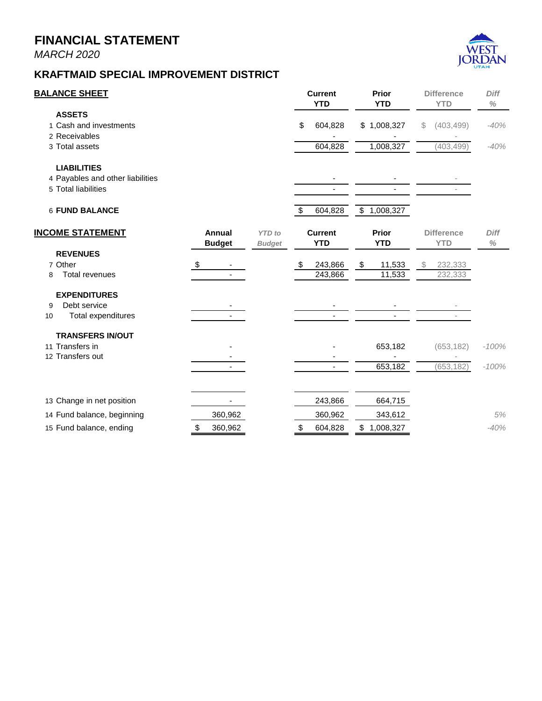*MARCH 2020*



| <b>BALANCE SHEET</b>             |               |               |               | <b>Current</b><br><b>YTD</b> | Prior<br><b>YTD</b> | <b>Difference</b><br><b>YTD</b> | <b>Diff</b><br>$\%$ |
|----------------------------------|---------------|---------------|---------------|------------------------------|---------------------|---------------------------------|---------------------|
| <b>ASSETS</b>                    |               |               |               |                              |                     |                                 |                     |
| 1 Cash and investments           |               |               | \$            | 604,828                      | \$1,008,327         | (403, 499)<br>S                 | $-40%$              |
| 2 Receivables                    |               |               |               |                              |                     |                                 |                     |
| 3 Total assets                   |               |               |               | 604,828                      | 1,008,327           | (403, 499)                      | $-40%$              |
| <b>LIABILITIES</b>               |               |               |               |                              |                     |                                 |                     |
| 4 Payables and other liabilities |               |               |               |                              |                     |                                 |                     |
| 5 Total liabilities              |               |               |               |                              |                     |                                 |                     |
| <b>6 FUND BALANCE</b>            |               |               | $\sqrt[6]{3}$ | 604,828                      | \$1,008,327         |                                 |                     |
| <b>INCOME STATEMENT</b>          | Annual        | <b>YTD</b> to |               | <b>Current</b>               | <b>Prior</b>        | <b>Difference</b>               | <b>Diff</b>         |
|                                  | <b>Budget</b> | <b>Budget</b> |               | <b>YTD</b>                   | <b>YTD</b>          | <b>YTD</b>                      | $\%$                |
| <b>REVENUES</b>                  |               |               |               |                              |                     |                                 |                     |
| 7 Other                          | \$            |               | \$            | 243,866                      | \$<br>11,533        | 232,333<br>S                    |                     |
| <b>Total revenues</b><br>8       |               |               |               | 243,866                      | 11,533              | 232,333                         |                     |
| <b>EXPENDITURES</b>              |               |               |               |                              |                     |                                 |                     |
| Debt service<br>9                |               |               |               |                              |                     |                                 |                     |
| Total expenditures<br>10         |               |               |               |                              |                     |                                 |                     |
| <b>TRANSFERS IN/OUT</b>          |               |               |               |                              |                     |                                 |                     |
| 11 Transfers in                  |               |               |               |                              | 653,182             | (653, 182)                      | $-100%$             |
| 12 Transfers out                 |               |               |               |                              |                     |                                 |                     |
|                                  |               |               |               | $\overline{\phantom{a}}$     | 653,182             | (653, 182)                      | $-100%$             |
| 13 Change in net position        |               |               |               | 243,866                      | 664,715             |                                 |                     |
| 14 Fund balance, beginning       | 360,962       |               |               | 360,962                      | 343,612             |                                 | 5%                  |
|                                  |               |               |               |                              |                     |                                 |                     |

 $\boldsymbol{\mathsf{N}}$ 

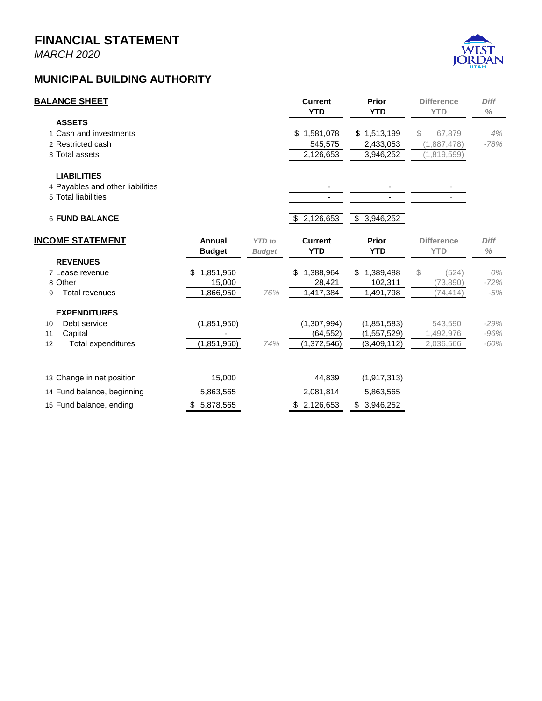*MARCH 2020*

# **AN**

# **MUNICIPAL BUILDING AUTHORITY**

| <b>BALANCE SHEET</b>             |                 |               | <b>Current</b><br><b>YTD</b> | Prior<br><b>YTD</b> | <b>Difference</b><br><b>YTD</b> | <b>Diff</b><br>$\%$ |
|----------------------------------|-----------------|---------------|------------------------------|---------------------|---------------------------------|---------------------|
| <b>ASSETS</b>                    |                 |               |                              |                     |                                 |                     |
| 1 Cash and investments           |                 |               | 1,581,078<br>\$              | \$1,513,199         | 67,879<br>S                     | 4%                  |
| 2 Restricted cash                |                 |               | 545,575                      | 2,433,053           | (1,887,478)                     | $-78%$              |
| 3 Total assets                   |                 |               | 2,126,653                    | 3,946,252           | (1,819,599)                     |                     |
| <b>LIABILITIES</b>               |                 |               |                              |                     |                                 |                     |
| 4 Payables and other liabilities |                 |               |                              |                     |                                 |                     |
| 5 Total liabilities              |                 |               |                              |                     |                                 |                     |
| <b>6 FUND BALANCE</b>            |                 |               | \$2,126,653                  | \$3,946,252         |                                 |                     |
| <b>INCOME STATEMENT</b>          | Annual          | <b>YTD</b> to | <b>Current</b>               | <b>Prior</b>        | <b>Difference</b>               | <b>Diff</b>         |
|                                  | <b>Budget</b>   | <b>Budget</b> | <b>YTD</b>                   | <b>YTD</b>          | <b>YTD</b>                      | $\%$                |
| <b>REVENUES</b>                  |                 |               |                              |                     |                                 |                     |
| 7 Lease revenue                  | 1,851,950<br>\$ |               | 1,388,964<br>\$              | 1,389,488<br>\$     | (524)<br>S                      | 0%                  |
| 8 Other                          | 15,000          |               | 28,421                       | 102,311             | (73, 890)                       | $-72%$              |
| <b>Total revenues</b><br>9       | 1,866,950       | 76%           | 1,417,384                    | 1,491,798           | (74, 414)                       | $-5%$               |
| <b>EXPENDITURES</b>              |                 |               |                              |                     |                                 |                     |
| Debt service<br>10               | (1,851,950)     |               | (1,307,994)                  | (1,851,583)         | 543,590                         | $-29%$              |
| 11<br>Capital                    |                 |               | (64, 552)                    | (1,557,529)         | 1,492,976                       | $-96%$              |
| 12<br>Total expenditures         | (1,851,950)     | 74%           | (1,372,546)                  | (3,409,112)         | 2,036,566                       | $-60%$              |
| 13 Change in net position        | 15,000          |               | 44,839                       | (1, 917, 313)       |                                 |                     |
| 14 Fund balance, beginning       | 5,863,565       |               | 2,081,814                    | 5,863,565           |                                 |                     |
| 15 Fund balance, ending          | \$5,878,565     |               | \$2,126,653                  | \$3,946,252         |                                 |                     |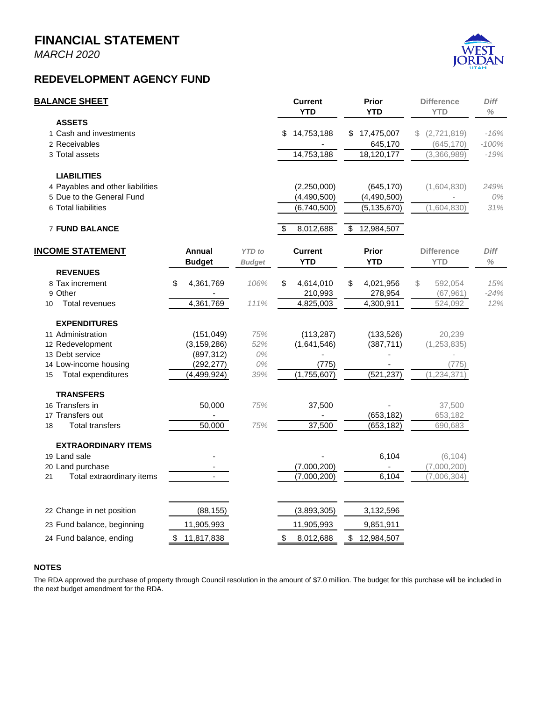*MARCH 2020*

# **REDEVELOPMENT AGENCY FUND**



| <b>BALANCE SHEET</b>                                                                                       |                                                        |                                | <b>Current</b><br><b>YTD</b>                 | Prior<br><b>YTD</b>                        | <b>Difference</b><br><b>YTD</b>               | <b>Diff</b><br>℅            |
|------------------------------------------------------------------------------------------------------------|--------------------------------------------------------|--------------------------------|----------------------------------------------|--------------------------------------------|-----------------------------------------------|-----------------------------|
| <b>ASSETS</b><br>1 Cash and investments<br>2 Receivables<br>3 Total assets                                 |                                                        |                                | 14,753,188<br>\$<br>14,753,188               | 17,475,007<br>\$<br>645,170<br>18,120,177  | (2,721,819)<br>S<br>(645, 170)<br>(3,366,989) | $-16%$<br>$-100%$<br>$-19%$ |
| <b>LIABILITIES</b><br>4 Payables and other liabilities<br>5 Due to the General Fund<br>6 Total liabilities |                                                        |                                | (2,250,000)<br>(4,490,500)<br>(6,740,500)    | (645, 170)<br>(4,490,500)<br>(5, 135, 670) | (1,604,830)<br>(1,604,830)                    | 249%<br>0%<br>31%           |
| <b>7 FUND BALANCE</b>                                                                                      |                                                        |                                | 8,012,688<br>\$                              | 12,984,507<br>\$                           |                                               |                             |
| <b>INCOME STATEMENT</b>                                                                                    | Annual<br><b>Budget</b>                                | <b>YTD</b> to<br><b>Budget</b> | <b>Current</b><br><b>YTD</b>                 | <b>Prior</b><br><b>YTD</b>                 | <b>Difference</b><br><b>YTD</b>               | <b>Diff</b><br>$\%$         |
| <b>REVENUES</b><br>8 Tax increment<br>9 Other<br><b>Total revenues</b><br>10                               | \$<br>4,361,769<br>4,361,769                           | 106%<br>111%                   | 4,614,010<br>\$<br>210,993<br>4,825,003      | \$<br>4,021,956<br>278,954<br>4,300,911    | \$<br>592,054<br>(67, 961)<br>524,092         | 15%<br>$-24%$<br>12%        |
| <b>EXPENDITURES</b><br>11 Administration<br>12 Redevelopment<br>13 Debt service<br>14 Low-income housing   | (151, 049)<br>(3, 159, 286)<br>(897, 312)<br>(292,277) | 75%<br>52%<br>0%<br>0%         | (113, 287)<br>(1,641,546)<br>(775)           | (133, 526)<br>(387, 711)                   | 20,239<br>(1, 253, 835)<br>(775)              |                             |
| Total expenditures<br>15<br><b>TRANSFERS</b><br>16 Transfers in                                            | (4, 499, 924)<br>50,000                                | 39%<br>75%                     | (1,755,607)<br>37,500                        | (521, 237)                                 | 1,234,371)<br>37,500                          |                             |
| 17 Transfers out<br><b>Total transfers</b><br>18                                                           | 50,000                                                 | 75%                            | 37,500                                       | (653, 182)<br>(653, 182)                   | 653,182<br>690,683                            |                             |
| <b>EXTRAORDINARY ITEMS</b><br>19 Land sale<br>20 Land purchase<br>Total extraordinary items<br>21          |                                                        |                                | (7,000,200)<br>(7,000,200)                   | 6,104<br>6,104                             | (6, 104)<br>(7,000,200)<br>(7,006,304)        |                             |
| 22 Change in net position<br>23 Fund balance, beginning<br>24 Fund balance, ending                         | (88, 155)<br>11,905,993<br>11,817,838<br>\$            |                                | (3,893,305)<br>11,905,993<br>\$<br>8,012,688 | 3,132,596<br>9,851,911<br>12,984,507<br>\$ |                                               |                             |

#### **NOTES**

The RDA approved the purchase of property through Council resolution in the amount of \$7.0 million. The budget for this purchase will be included in the next budget amendment for the RDA.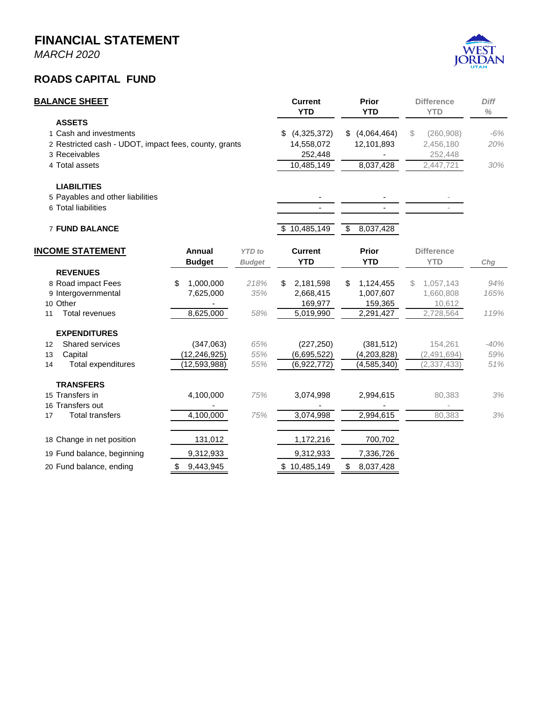*MARCH 2020*

#### **ROADS CAPITAL FUND**



|                | <b>BALANCE SHEET</b>                                                                                                                |                                               |                                | <b>Current</b><br><b>YTD</b>                         |                                          | Prior<br><b>YTD</b>                            |    | <b>Difference</b><br><b>YTD</b>                 | <b>Diff</b><br>$\%$  |
|----------------|-------------------------------------------------------------------------------------------------------------------------------------|-----------------------------------------------|--------------------------------|------------------------------------------------------|------------------------------------------|------------------------------------------------|----|-------------------------------------------------|----------------------|
|                | <b>ASSETS</b><br>1 Cash and investments<br>2 Restricted cash - UDOT, impact fees, county, grants<br>3 Receivables<br>4 Total assets |                                               |                                | (4,325,372)<br>14,558,072<br>252,448<br>10,485,149   | \$(4,064,464)<br>12,101,893<br>8,037,428 |                                                | \$ | (260, 908)<br>2,456,180<br>252,448<br>2,447,721 | $-6%$<br>20%<br>30%  |
|                | <b>LIABILITIES</b><br>5 Payables and other liabilities<br>6 Total liabilities<br><b>7 FUND BALANCE</b>                              |                                               |                                | \$10,485,149                                         | \$                                       | 8,037,428                                      |    | $\overline{\phantom{a}}$                        |                      |
|                | <b>INCOME STATEMENT</b>                                                                                                             | <b>Annual</b><br><b>Budget</b>                | <b>YTD</b> to<br><b>Budget</b> | <b>Current</b><br><b>YTD</b>                         |                                          | <b>Prior</b><br><b>YTD</b>                     |    | <b>Difference</b><br><b>YTD</b>                 | Chg                  |
| 11             | <b>REVENUES</b><br>8 Road impact Fees<br>9 Intergovernmental<br>10 Other<br><b>Total revenues</b>                                   | 1,000,000<br>\$<br>7,625,000<br>8,625,000     | 218%<br>35%<br>58%             | \$<br>2,181,598<br>2,668,415<br>169,977<br>5,019,990 | \$                                       | 1,124,455<br>1,007,607<br>159,365<br>2,291,427 | S  | 1,057,143<br>1,660,808<br>10,612<br>2,728,564   | 94%<br>165%<br>119%  |
| 12<br>13<br>14 | <b>EXPENDITURES</b><br>Shared services<br>Capital<br><b>Total expenditures</b>                                                      | (347,063)<br>(12, 246, 925)<br>(12, 593, 988) | 65%<br>55%<br>55%              | (227, 250)<br>(6,695,522)<br>(6,922,772)             |                                          | (381, 512)<br>(4,203,828)<br>(4, 585, 340)     |    | 154,261<br>(2,491,694)<br>(2, 337, 433)         | $-40%$<br>59%<br>51% |
| 17             | <b>TRANSFERS</b><br>15 Transfers in<br>16 Transfers out<br><b>Total transfers</b>                                                   | 4,100,000<br>4,100,000                        | 75%<br>75%                     | 3,074,998<br>3,074,998                               |                                          | 2,994,615<br>2,994,615                         |    | 80,383<br>80,383                                | 3%<br>3%             |
|                | 18 Change in net position<br>19 Fund balance, beginning<br>20 Fund balance, ending                                                  | 131,012<br>9,312,933<br>9,443,945<br>\$       |                                | 1,172,216<br>9,312,933<br>\$10,485,149               | \$                                       | 700,702<br>7,336,726<br>8,037,428              |    |                                                 |                      |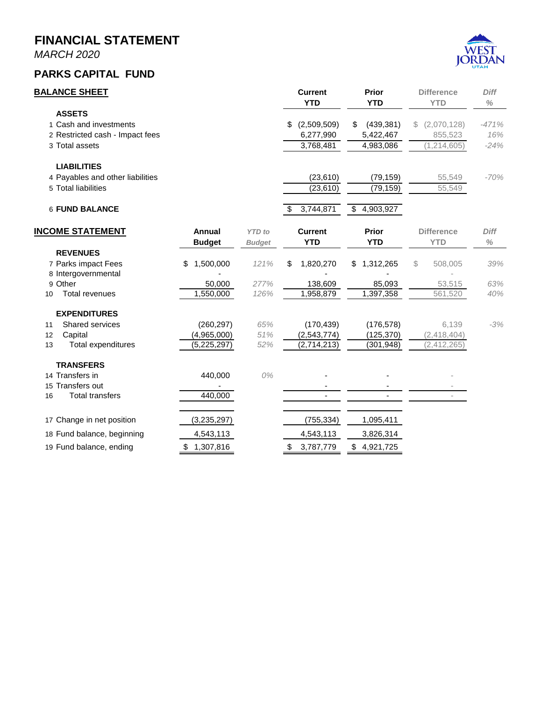*MARCH 2020*

## **PARKS CAPITAL FUND**



| <b>BALANCE SHEET</b>             |                 |               | <b>Current</b><br><b>YTD</b> | Prior<br><b>YTD</b>        |    | <b>Difference</b><br><b>YTD</b> | <b>Diff</b><br>$\%$ |
|----------------------------------|-----------------|---------------|------------------------------|----------------------------|----|---------------------------------|---------------------|
| <b>ASSETS</b>                    |                 |               |                              |                            |    |                                 |                     |
| 1 Cash and investments           |                 |               | \$<br>(2,509,509)            | (439, 381)<br>S            | S. | (2,070,128)                     | $-471%$             |
| 2 Restricted cash - Impact fees  |                 |               | 6,277,990                    | 5,422,467                  |    | 855,523                         | 16%                 |
| 3 Total assets                   |                 |               | 3,768,481                    | 4,983,086                  |    | 1,214,605                       | $-24%$              |
| <b>LIABILITIES</b>               |                 |               |                              |                            |    |                                 |                     |
| 4 Payables and other liabilities |                 |               | (23, 610)                    | (79, 159)                  |    | 55,549                          | $-70%$              |
| 5 Total liabilities              |                 |               | (23, 610)                    | (79, 159)                  |    | 55,549                          |                     |
| <b>6 FUND BALANCE</b>            |                 |               | \$<br>3,744,871              | $\frac{1}{2}$<br>4,903,927 |    |                                 |                     |
| <b>INCOME STATEMENT</b>          | Annual          | <b>YTD</b> to | <b>Current</b>               | <b>Prior</b>               |    | <b>Difference</b>               | <b>Diff</b>         |
|                                  | <b>Budget</b>   | <b>Budget</b> | <b>YTD</b>                   | <b>YTD</b>                 |    | <b>YTD</b>                      | $\%$                |
| <b>REVENUES</b>                  |                 |               |                              |                            |    |                                 |                     |
| 7 Parks impact Fees              | 1,500,000<br>\$ | 121%          | \$<br>1,820,270              | 1,312,265<br>\$            | \$ | 508,005                         | 39%                 |
| 8 Intergovernmental              |                 |               |                              |                            |    |                                 |                     |
| 9 Other                          | 50,000          | 277%          | 138,609                      | 85,093                     |    | 53,515                          | 63%                 |
| <b>Total revenues</b><br>10      | 1,550,000       | 126%          | 1,958,879                    | 1,397,358                  |    | 561,520                         | 40%                 |
| <b>EXPENDITURES</b>              |                 |               |                              |                            |    |                                 |                     |
| Shared services<br>11            | (260, 297)      | 65%           | (170, 439)                   | (176, 578)                 |    | 6,139                           | $-3%$               |
| 12<br>Capital                    | (4,965,000)     | 51%           | (2, 543, 774)                | (125, 370)                 |    | (2,418,404)                     |                     |
| <b>Total expenditures</b><br>13  | (5, 225, 297)   | 52%           | (2,714,213)                  | (301, 948)                 |    | (2, 412, 265)                   |                     |
| <b>TRANSFERS</b>                 |                 |               |                              |                            |    |                                 |                     |
| 14 Transfers in                  | 440,000         | 0%            |                              |                            |    |                                 |                     |
| 15 Transfers out                 |                 |               |                              |                            |    |                                 |                     |
| <b>Total transfers</b><br>16     | 440,000         |               |                              |                            |    |                                 |                     |
| 17 Change in net position        | (3,235,297)     |               | (755, 334)                   | 1,095,411                  |    |                                 |                     |
| 18 Fund balance, beginning       | 4,543,113       |               | 4,543,113                    | 3,826,314                  |    |                                 |                     |
| 19 Fund balance, ending          | \$<br>1,307,816 |               | \$<br>3,787,779              | \$<br>4,921,725            |    |                                 |                     |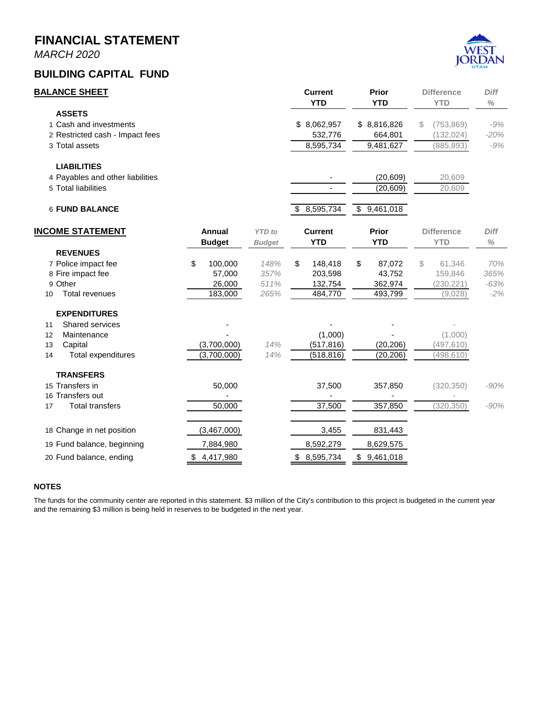*MARCH 2020*

#### **BUILDING CAPITAL FUND**



|                      | <b>BALANCE SHEET</b>                                                                            |                                              |                                | <b>Current</b><br><b>YTD</b>                   | Prior<br><b>YTD</b>                          |    | <b>Difference</b><br><b>YTD</b>            | Diff<br>$\%$                   |
|----------------------|-------------------------------------------------------------------------------------------------|----------------------------------------------|--------------------------------|------------------------------------------------|----------------------------------------------|----|--------------------------------------------|--------------------------------|
|                      | <b>ASSETS</b><br>1 Cash and investments<br>2 Restricted cash - Impact fees<br>3 Total assets    |                                              |                                | \$8,062,957<br>532,776<br>8,595,734            | \$8,816,826<br>664,801<br>9,481,627          | S  | (753, 869)<br>(132, 024)<br>(885, 893)     | $-9%$<br>$-20%$<br>$-9%$       |
|                      | <b>LIABILITIES</b><br>4 Payables and other liabilities<br>5 Total liabilities                   |                                              |                                |                                                | (20, 609)<br>(20, 609)                       |    | 20,609<br>20,609                           |                                |
|                      | <b>6 FUND BALANCE</b>                                                                           |                                              |                                | \$<br>8,595,734                                | \$<br>9,461,018                              |    |                                            |                                |
|                      | <b>INCOME STATEMENT</b>                                                                         | <b>Annual</b><br><b>Budget</b>               | <b>YTD</b> to<br><b>Budget</b> | <b>Current</b><br><b>YTD</b>                   | Prior<br><b>YTD</b>                          |    | <b>Difference</b><br><b>YTD</b>            | Diff<br>$\%$                   |
| 10                   | <b>REVENUES</b><br>7 Police impact fee<br>8 Fire impact fee<br>9 Other<br><b>Total revenues</b> | \$<br>100,000<br>57,000<br>26,000<br>183,000 | 148%<br>357%<br>511%<br>265%   | \$<br>148,418<br>203,598<br>132,754<br>484,770 | \$<br>87,072<br>43,752<br>362,974<br>493,799 | \$ | 61,346<br>159,846<br>(230, 221)<br>(9,028) | 70%<br>365%<br>$-63%$<br>$-2%$ |
| 11<br>12<br>13<br>14 | <b>EXPENDITURES</b><br>Shared services<br>Maintenance<br>Capital<br>Total expenditures          | (3,700,000)<br>(3,700,000)                   | 14%<br>14%                     | (1,000)<br>(517, 816)<br>(518, 816)            | (20, 206)<br>(20, 206)                       |    | (1,000)<br>(497, 610)<br>(498, 610)        |                                |
| 17                   | <b>TRANSFERS</b><br>15 Transfers in<br>16 Transfers out<br><b>Total transfers</b>               | 50,000<br>50,000                             |                                | 37,500<br>37,500                               | 357,850<br>357,850                           |    | (320, 350)<br>(320, 350)                   | $-90%$<br>$-90%$               |
|                      | 18 Change in net position<br>19 Fund balance, beginning<br>20 Fund balance, ending              | (3,467,000)<br>7,884,980<br>\$4,417,980      |                                | 3,455<br>8,592,279<br>\$8,595,734              | 831,443<br>8,629,575<br>\$9,461,018          |    |                                            |                                |

#### **NOTES**

The funds for the community center are reported in this statement. \$3 million of the City's contribution to this project is budgeted in the current year and the remaining \$3 million is being held in reserves to be budgeted in the next year.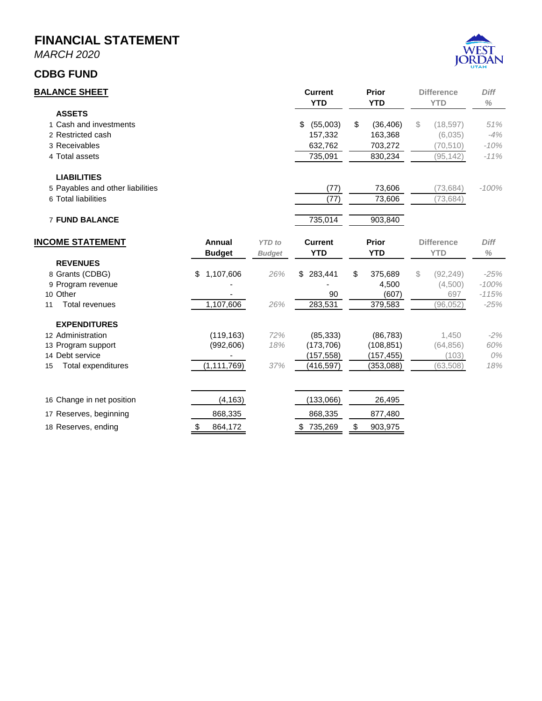*MARCH 2020*

#### **CDBG FUND**



| <u>BALANCE SHEET</u>             |                 |               | <b>Current</b><br><b>YTD</b> | <b>Prior</b><br><b>YTD</b> | <b>Difference</b><br><b>YTD</b> | <b>Diff</b><br>$\%$ |
|----------------------------------|-----------------|---------------|------------------------------|----------------------------|---------------------------------|---------------------|
| <b>ASSETS</b>                    |                 |               |                              |                            |                                 |                     |
| 1 Cash and investments           |                 |               | (55,003)<br>\$               | \$<br>(36, 406)            | S<br>(18, 597)                  | 51%                 |
| 2 Restricted cash                |                 |               | 157,332                      | 163,368                    | (6,035)                         | $-4%$               |
| 3 Receivables                    |                 |               | 632,762                      | 703,272                    | (70, 510)                       | $-10%$              |
| 4 Total assets                   |                 |               | 735,091                      | 830,234                    | (95, 142)                       | $-11%$              |
| <b>LIABILITIES</b>               |                 |               |                              |                            |                                 |                     |
| 5 Payables and other liabilities |                 |               | (77)                         | 73,606                     | (73, 684)                       | $-100%$             |
| 6 Total liabilities              |                 |               | (77)                         | 73,606                     | (73, 684)                       |                     |
| <b>7 FUND BALANCE</b>            |                 |               | 735,014                      | 903,840                    |                                 |                     |
| <b>INCOME STATEMENT</b>          | Annual          | <b>YTD</b> to | <b>Current</b>               | <b>Prior</b>               | <b>Difference</b>               | Diff                |
|                                  | <b>Budget</b>   | <b>Budget</b> | <b>YTD</b>                   | <b>YTD</b>                 | <b>YTD</b>                      | $\frac{0}{0}$       |
| <b>REVENUES</b>                  |                 |               |                              |                            |                                 |                     |
| 8 Grants (CDBG)                  | 1,107,606<br>\$ | 26%           | 283,441<br>\$                | 375,689<br>\$              | (92, 249)<br>S                  | $-25%$              |
| 9 Program revenue                |                 |               |                              | 4,500                      | (4,500)                         | $-100%$             |
| 10 Other                         |                 |               | 90                           | (607)                      | 697                             | $-115%$             |
| <b>Total revenues</b><br>11      | 1,107,606       | 26%           | 283,531                      | 379,583                    | (96, 052)                       | $-25%$              |
| <b>EXPENDITURES</b>              |                 |               |                              |                            |                                 |                     |
| 12 Administration                | (119, 163)      | 72%           | (85, 333)                    | (86, 783)                  | 1,450                           | $-2%$               |
| 13 Program support               | (992, 606)      | 18%           | (173, 706)                   | (108, 851)                 | (64, 856)                       | 60%                 |
| 14 Debt service                  |                 |               | (157, 558)                   | (157, 455)                 | (103)                           | 0%                  |
| Total expenditures<br>15         | (1, 111, 769)   | 37%           | (416, 597)                   | (353,088)                  | (63, 508)                       | 18%                 |
| 16 Change in net position        | (4, 163)        |               | (133,066)                    | 26,495                     |                                 |                     |
| 17 Reserves, beginning           | 868,335         |               | 868,335                      | 877,480                    |                                 |                     |
| 18 Reserves, ending              | \$<br>864.172   |               | \$735,269                    | \$<br>903,975              |                                 |                     |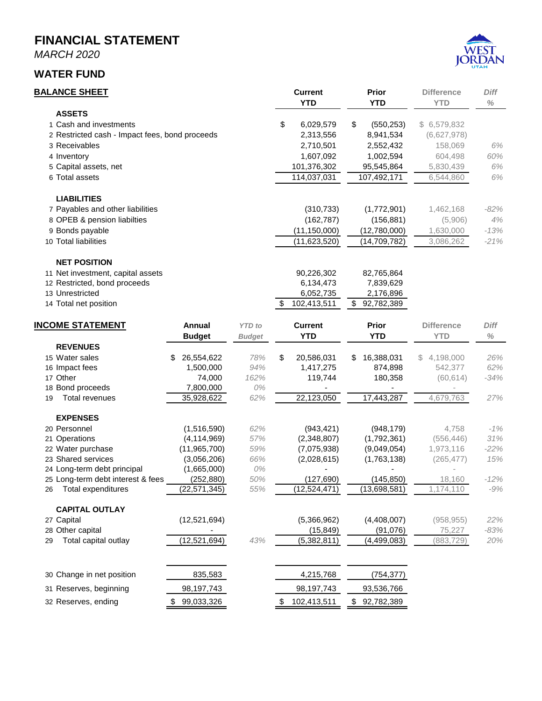*MARCH 2020*

#### **WATER FUND**



#### **BALANCE SHEET Current Prior Difference** *Diff*

|                                                |                |               | <b>YTD</b>        | YTD              | <b>YTD</b>        | $\%$   |
|------------------------------------------------|----------------|---------------|-------------------|------------------|-------------------|--------|
| <b>ASSETS</b>                                  |                |               |                   |                  |                   |        |
| 1 Cash and investments                         |                |               | \$<br>6,029,579   | \$<br>(550, 253) | \$ 6,579,832      |        |
| 2 Restricted cash - Impact fees, bond proceeds |                |               | 2,313,556         | 8,941,534        | (6,627,978)       |        |
| 3 Receivables                                  |                |               | 2,710,501         | 2,552,432        | 158,069           | 6%     |
| 4 Inventory                                    |                |               | 1,607,092         | 1,002,594        | 604,498           | 60%    |
| 5 Capital assets, net                          |                |               | 101,376,302       | 95,545,864       | 5,830,439         | 6%     |
| 6 Total assets                                 |                |               | 114,037,031       | 107,492,171      | 6,544,860         | 6%     |
| <b>LIABILITIES</b>                             |                |               |                   |                  |                   |        |
| 7 Payables and other liabilities               |                |               | (310, 733)        | (1,772,901)      | 1,462,168         | $-82%$ |
| 8 OPEB & pension liabilties                    |                |               | (162, 787)        | (156, 881)       | (5,906)           | 4%     |
| 9 Bonds payable                                |                |               | (11, 150, 000)    | (12,780,000)     | 1,630,000         | $-13%$ |
| 10 Total liabilities                           |                |               | (11,623,520)      | (14, 709, 782)   | 3,086,262         | $-21%$ |
| <b>NET POSITION</b>                            |                |               |                   |                  |                   |        |
| 11 Net investment, capital assets              |                |               | 90,226,302        | 82,765,864       |                   |        |
| 12 Restricted, bond proceeds                   |                |               | 6,134,473         | 7,839,629        |                   |        |
| 13 Unrestricted                                |                |               | 6,052,735         | 2,176,896        |                   |        |
| 14 Total net position                          |                |               | \$<br>102,413,511 | \$<br>92,782,389 |                   |        |
|                                                |                |               |                   |                  |                   |        |
| <b>INCOME STATEMENT</b>                        | Annual         | <b>YTD</b> to | <b>Current</b>    | <b>Prior</b>     | <b>Difference</b> | Diff   |
|                                                | <b>Budget</b>  | <b>Budget</b> | <b>YTD</b>        | <b>YTD</b>       | <b>YTD</b>        | $\%$   |
| <b>REVENUES</b>                                |                |               |                   |                  |                   |        |
| 15 Water sales                                 | 26,554,622     | 78%           | \$<br>20,586,031  | 16,388,031<br>\$ | 4,198,000<br>S.   | 26%    |
| 16 Impact fees                                 | 1,500,000      | 94%           | 1,417,275         | 874,898          | 542,377           | 62%    |
| 17 Other                                       | 74,000         | 162%          | 119,744           | 180,358          | (60, 614)         | $-34%$ |
| 18 Bond proceeds                               | 7,800,000      | 0%            |                   |                  |                   |        |
| Total revenues<br>19                           | 35,928,622     | 62%           | 22,123,050        | 17,443,287       | 4,679,763         | 27%    |
| <b>EXPENSES</b>                                |                |               |                   |                  |                   |        |
| 20 Personnel                                   | (1,516,590)    | 62%           | (943, 421)        | (948, 179)       | 4,758             | $-1%$  |
| 21 Operations                                  | (4, 114, 969)  | 57%           | (2,348,807)       | (1,792,361)      | (556, 446)        | 31%    |
| 22 Water purchase                              | (11,965,700)   | 59%           | (7,075,938)       | (9,049,054)      | 1,973,116         | $-22%$ |
| 23 Shared services                             | (3,056,206)    | 66%           | (2,028,615)       | (1,763,138)      | (265, 477)        | 15%    |
| 24 Long-term debt principal                    | (1,665,000)    | 0%            |                   |                  |                   |        |
| 25 Long-term debt interest & fees              | (252, 880)     | 50%           | (127, 690)        | (145, 850)       | 18,160            | $-12%$ |
| Total expenditures<br>26                       | (22, 571, 345) | 55%           | (12,524,471)      | (13,698,581)     | 1,174,110         | $-9%$  |
| <b>CAPITAL OUTLAY</b>                          |                |               |                   |                  |                   |        |
| 27 Capital                                     | (12,521,694)   |               | (5,366,962)       | (4,408,007)      | (958, 955)        | 22%    |
| 28 Other capital                               |                |               | (15, 849)         | (91,076)         | 75,227            | $-83%$ |
| Total capital outlay<br>29                     | (12, 521, 694) | 43%           | (5,382,811)       | (4, 499, 083)    | (883, 729)        | 20%    |
| 30 Change in net position                      | 835,583        |               | 4,215,768         | (754, 377)       |                   |        |
| 31 Reserves, beginning                         | 98,197,743     |               | 98,197,743        | 93,536,766       |                   |        |
|                                                |                |               |                   |                  |                   |        |

32 Reserves, ending 38 99,033,326 5 102,413,511 \$ 92,782,389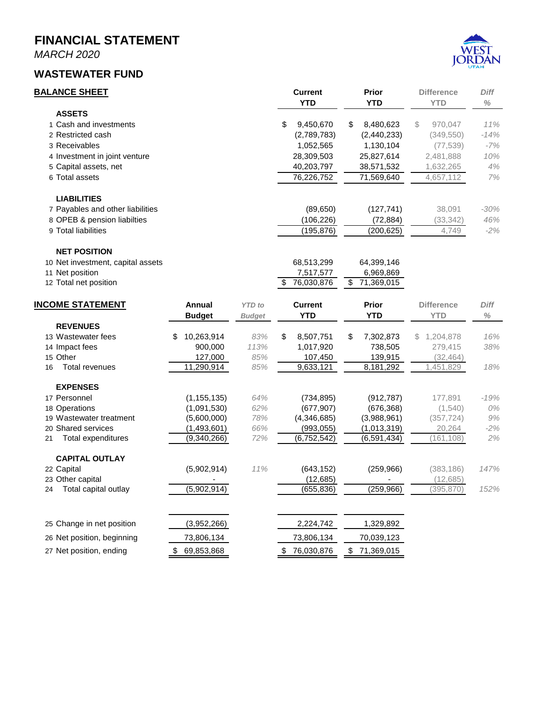*MARCH 2020*

#### **WASTEWATER FUND**



| <b>BALANCE SHEET</b>              | <b>Current</b>  | <b>Prior</b>    | <b>Difference</b> | <b>Diff</b> |
|-----------------------------------|-----------------|-----------------|-------------------|-------------|
|                                   | YTD             | <b>YTD</b>      | <b>YTD</b>        | $\%$        |
| <b>ASSETS</b>                     |                 |                 |                   |             |
| 1 Cash and investments            | \$<br>9,450,670 | \$<br>8,480,623 | 970.047<br>S.     | 11%         |
| 2 Restricted cash                 | (2,789,783)     | (2,440,233)     | (349, 550)        | $-14%$      |
| 3 Receivables                     | 1,052,565       | 1,130,104       | (77, 539)         | -7%         |
| 4 Investment in joint venture     | 28,309,503      | 25,827,614      | 2,481,888         | 10%         |
| 5 Capital assets, net             | 40,203,797      | 38,571,532      | 1,632,265         | 4%          |
| 6 Total assets                    | 76,226,752      | 71,569,640      | 4,657,112         | 7%          |
| <b>LIABILITIES</b>                |                 |                 |                   |             |
| 7 Payables and other liabilities  | (89,650)        | (127,741)       | 38,091            | -30%        |
| 8 OPEB & pension liabilties       | (106,226)       | (72, 884)       | (33, 342)         | 46%         |
| 9 Total liabilities               | (195,876)       | (200, 625)      | 4,749             | $-2\%$      |
| <b>NET POSITION</b>               |                 |                 |                   |             |
| 10 Net investment, capital assets | 68,513,299      | 64,399,146      |                   |             |
| 11 Net position                   | 7,517,577       | 6,969,869       |                   |             |

- 11 Net position
- 12 Total net position <br>
12 Total net position <br>
12 Total net position <br>
12 Total net position <br>
13 Total net position <br>
13 Total net position <br>
13 Total net position <br>
14 Total net position in the position of the position

| <b>INCOME STATEMENT</b>     |  | Annual<br><b>YTD</b> to<br><b>Budget</b><br><b>Budget</b> |      | <b>Current</b><br><b>YTD</b> |    | <b>Prior</b><br><b>YTD</b> | <b>Difference</b><br><b>YTD</b> | <b>Diff</b><br>$\%$ |
|-----------------------------|--|-----------------------------------------------------------|------|------------------------------|----|----------------------------|---------------------------------|---------------------|
| <b>REVENUES</b>             |  |                                                           |      |                              |    |                            |                                 |                     |
| 13 Wastewater fees          |  | 10,263,914<br>\$                                          | 83%  | \$<br>8,507,751              | \$ | 7,302,873                  | 1,204,878<br>S.                 | 16%                 |
| 14 Impact fees              |  | 900.000                                                   | 113% | 1,017,920                    |    | 738,505                    | 279.415                         | 38%                 |
| 15 Other                    |  | 127,000                                                   | 85%  | 107,450                      |    | 139,915                    | (32, 464)                       |                     |
| <b>Total revenues</b><br>16 |  | 11,290,914                                                | 85%  | 9,633,121                    |    | 8,181,292                  | 1,451,829                       | 18%                 |
| <b>EXPENSES</b>             |  |                                                           |      |                              |    |                            |                                 |                     |
| 17 Personnel                |  | (1, 155, 135)                                             | 64%  | (734, 895)                   |    | (912, 787)                 | 177,891                         | $-19%$              |
| 18 Operations               |  | (1,091,530)                                               | 62%  | (677, 907)                   |    | (676, 368)                 | (1,540)                         | 0%                  |
| 19 Wastewater treatment     |  | (5,600,000)                                               | 78%  | (4,346,685)                  |    | (3,988,961)                | (357, 724)                      | 9%                  |
| 20 Shared services          |  | (1,493,601)                                               | 66%  | (993, 055)                   |    | (1,013,319)                | 20,264                          | $-2%$               |
| Total expenditures<br>21    |  | (9,340,266)                                               | 72%  | (6, 752, 542)                |    | (6,591,434)                | (161, 108)                      | 2%                  |
| <b>CAPITAL OUTLAY</b>       |  |                                                           |      |                              |    |                            |                                 |                     |
| 22 Capital                  |  | (5,902,914)                                               | 11%  | (643, 152)                   |    | (259, 966)                 | (383, 186)                      | 147%                |
| 23 Other capital            |  |                                                           |      | (12, 685)                    |    |                            | (12, 685)                       |                     |
| Total capital outlay<br>24  |  | (5,902,914)                                               |      | (655,836)                    |    | (259,966)                  | (395,870)                       | 152%                |
|                             |  |                                                           |      |                              |    |                            |                                 |                     |
| 25 Change in net position   |  | (3,952,266)                                               |      | 2,224,742                    |    | 1,329,892                  |                                 |                     |
| 26 Net position, beginning  |  | 73,806,134                                                |      | 73,806,134                   |    | 70,039,123                 |                                 |                     |
| 27 Net position, ending     |  | 69,853,868<br>SБ                                          |      | 76,030,876                   | \$ | 71,369,015                 |                                 |                     |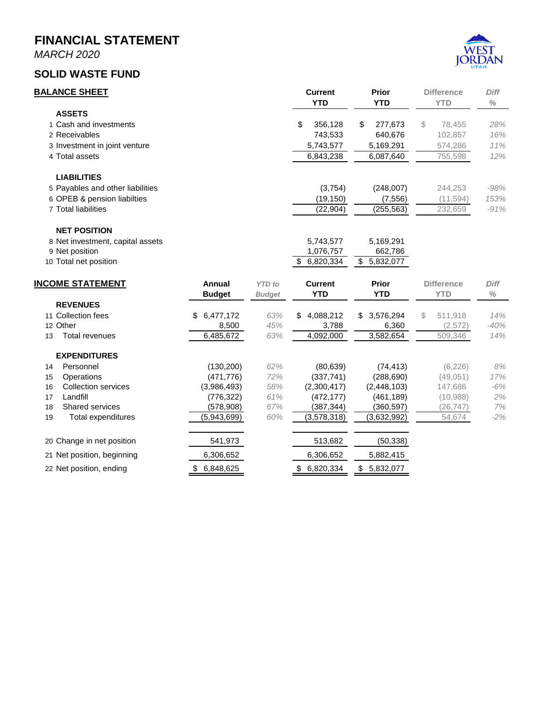*MARCH 2020*

#### **SOLID WASTE FUND**



| <b>BALANCE SHEET</b>             |                 |               | <b>Current</b><br><b>YTD</b> | <b>Prior</b><br><b>YTD</b> | <b>Difference</b><br><b>YTD</b> | <b>Diff</b><br>$\%$ |
|----------------------------------|-----------------|---------------|------------------------------|----------------------------|---------------------------------|---------------------|
| <b>ASSETS</b>                    |                 |               |                              |                            |                                 |                     |
| 1 Cash and investments           |                 |               | \$<br>356,128                | 277,673<br>\$              | S<br>78,455                     | 28%                 |
| 2 Receivables                    |                 |               | 743,533                      | 640,676                    | 102,857                         | 16%                 |
| 3 Investment in joint venture    |                 |               | 5,743,577                    | 5,169,291                  | 574,286                         | 11%                 |
| 4 Total assets                   |                 |               | 6,843,238                    | 6,087,640                  | 755,598                         | 12%                 |
| <b>LIABILITIES</b>               |                 |               |                              |                            |                                 |                     |
| 5 Payables and other liabilities |                 |               | (3,754)                      | (248,007)                  | 244,253                         | $-98%$              |
| 6 OPEB & pension liabilties      |                 |               | (19,150)                     | (7, 556)                   | (11,594)                        | 153%                |
| 7 Total liabilities              |                 |               | (22, 904)                    | (255, 563)                 | 232,659                         | $-91%$              |
| <b>NET POSITION</b>              |                 |               |                              |                            |                                 |                     |
| 8 Net investment, capital assets |                 |               | 5,743,577                    | 5,169,291                  |                                 |                     |
| 9 Net position                   |                 |               | 1,076,757                    | 662,786                    |                                 |                     |
| 10 Total net position            |                 |               | 6,820,334                    | \$<br>5,832,077            |                                 |                     |
| <b>INCOME STATEMENT</b>          | Annual          | <b>YTD</b> to | <b>Current</b>               | <b>Prior</b>               | <b>Difference</b>               | <b>Diff</b>         |
|                                  | <b>Budget</b>   | <b>Budget</b> | <b>YTD</b>                   | YTD.                       | <b>YTD</b>                      | $\%$                |
| <b>REVENUES</b>                  |                 |               |                              |                            |                                 |                     |
| 11 Collection fees               | 6,477,172<br>\$ | 63%           | 4,088,212<br>\$              | 3,576,294<br>\$            | \$<br>511,918                   | 14%                 |
| 12 Other                         | 8,500           | 45%           | 3,788                        | 6,360                      | (2,572)                         | $-40%$              |
|                                  |                 |               |                              |                            |                                 |                     |

|                                | .               | -----         | .           | - - - - -  | ------              |     | .   |
|--------------------------------|-----------------|---------------|-------------|------------|---------------------|-----|-----|
| $\overline{\phantom{a}}$<br>ں⊧ | revenues<br>ota | ABF<br>$\sim$ | 220<br>. w. | 000<br>nas | <b>582.65</b><br>കച | ⊰⊿∤ | A0/ |
|                                |                 |               |             |            |                     |     |     |

| <b>EXPENDITURES</b>        |                 |     |                  |                 |          |       |
|----------------------------|-----------------|-----|------------------|-----------------|----------|-------|
| Personnel<br>14            | (130,200)       | 62% | (80, 639)        | (74, 413)       | (6, 226) | 8%    |
| Operations<br>15           | (471.776)       | 72% | (337,741)        | (288, 690)      | (49,051) | 17%   |
| Collection services<br>16  | (3,986,493)     | 58% | (2,300,417)      | (2,448,103)     | 147.686  | $-6%$ |
| Landfill<br>17             | (776, 322)      | 61% | (472.177)        | (461, 189)      | (10,988) | 2%    |
| Shared services<br>18      | (578,908)       | 67% | (387,344)        | (360,597)       | (26,747) | 7%    |
| Total expenditures<br>19   | (5,943,699)     | 60% | (3,578,318)      | (3,632,992)     | 54,674   | $-2%$ |
| 20 Change in net position  | 541,973         |     | 513,682          | (50, 338)       |          |       |
| 21 Net position, beginning | 6,306,652       |     | 6,306,652        | 5,882,415       |          |       |
| 22 Net position, ending    | 6,848,625<br>\$ |     | 6,820,334<br>\$. | 5.832.077<br>S. |          |       |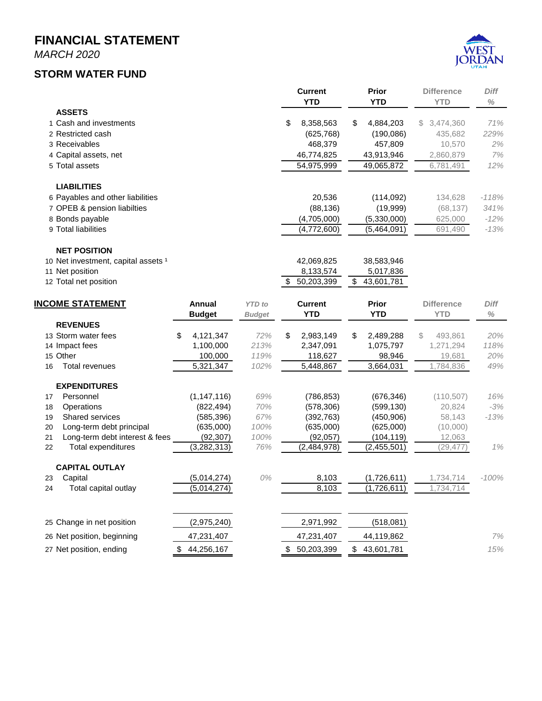*MARCH 2020*

#### **STORM WATER FUND**



|    |                                     |                      |               | <b>Current</b><br><b>YTD</b> | <b>Prior</b><br><b>YTD</b> | <b>Difference</b><br><b>YTD</b> | <b>Diff</b><br>$\%$ |
|----|-------------------------------------|----------------------|---------------|------------------------------|----------------------------|---------------------------------|---------------------|
|    | <b>ASSETS</b>                       |                      |               |                              |                            |                                 |                     |
|    | 1 Cash and investments              |                      |               | \$<br>8,358,563              | \$<br>4,884,203            | 3,474,360<br>S.                 | 71%                 |
|    | 2 Restricted cash                   |                      |               | (625, 768)                   | (190,086)                  | 435,682                         | 229%                |
|    | 3 Receivables                       |                      |               | 468,379                      | 457,809                    | 10,570                          | 2%                  |
|    | 4 Capital assets, net               |                      |               | 46,774,825                   | 43,913,946                 | 2,860,879                       | 7%                  |
|    | 5 Total assets                      |                      |               | 54,975,999                   | 49,065,872                 | 6,781,491                       | 12%                 |
|    | <b>LIABILITIES</b>                  |                      |               |                              |                            |                                 |                     |
|    | 6 Payables and other liabilities    |                      |               | 20,536                       | (114, 092)                 | 134,628                         | $-118%$             |
|    | 7 OPEB & pension liabilties         |                      |               | (88, 136)                    | (19,999)                   | (68, 137)                       | 341%                |
|    | 8 Bonds payable                     |                      |               | (4,705,000)                  | (5,330,000)                | 625,000                         | $-12%$              |
|    | 9 Total liabilities                 |                      |               | (4,772,600)                  | (5,464,091)                | 691,490                         | $-13%$              |
|    | <b>NET POSITION</b>                 |                      |               |                              |                            |                                 |                     |
|    | 10 Net investment, capital assets 1 |                      |               | 42,069,825                   | 38,583,946                 |                                 |                     |
|    | 11 Net position                     |                      |               | 8,133,574                    | 5,017,836                  |                                 |                     |
|    | 12 Total net position               |                      |               | \$<br>50,203,399             | \$<br>43,601,781           |                                 |                     |
|    | <b>INCOME STATEMENT</b>             | <b>Annual</b>        | <b>YTD</b> to | <b>Current</b>               | <b>Prior</b>               | <b>Difference</b>               | <b>Diff</b>         |
|    |                                     | <b>Budget</b>        | <b>Budget</b> | <b>YTD</b>                   | <b>YTD</b>                 | <b>YTD</b>                      | $\%$                |
|    | <b>REVENUES</b>                     |                      |               |                              |                            |                                 |                     |
|    | 13 Storm water fees                 | 4,121,347<br>\$      | 72%           | \$<br>2,983,149              | \$<br>2,489,288            | S<br>493,861                    | 20%                 |
|    | 14 Impact fees                      | 1,100,000            | 213%          | 2,347,091                    | 1,075,797                  | 1,271,294                       | 118%                |
| 16 | 15 Other<br><b>Total revenues</b>   | 100,000<br>5,321,347 | 119%<br>102%  | 118,627<br>5,448,867         | 98,946<br>3,664,031        | 19,681<br>1,784,836             | 20%<br>49%          |
|    |                                     |                      |               |                              |                            |                                 |                     |
|    | <b>EXPENDITURES</b>                 |                      |               |                              |                            |                                 |                     |
| 17 | Personnel                           | (1, 147, 116)        | 69%           | (786, 853)                   | (676, 346)                 | (110, 507)                      | 16%                 |
| 18 | Operations                          | (822, 494)           | 70%           | (578, 306)                   | (599, 130)                 | 20,824                          | $-3%$               |
| 19 | Shared services                     | (585, 396)           | 67%           | (392, 763)                   | (450, 906)                 | 58,143                          | $-13%$              |
| 20 | Long-term debt principal            | (635,000)            | 100%          | (635,000)                    | (625,000)                  | (10,000)                        |                     |
| 21 | Long-term debt interest & fees      | (92, 307)            | 100%          | (92,057)                     | (104,119)                  | 12,063                          |                     |
| 22 | Total expenditures                  | (3, 282, 313)        | 76%           | (2,484,978)                  | (2,455,501)                | (29, 477)                       | 1%                  |
|    | <b>CAPITAL OUTLAY</b>               |                      |               |                              |                            |                                 |                     |
| 23 | Capital                             | (5,014,274)          | 0%            | 8,103                        | (1,726,611)                | 1,734,714                       | $-100%$             |
| 24 | Total capital outlay                | (5,014,274)          |               | 8,103                        | (1,726,611)                | 1,734,714                       |                     |
|    | 25 Change in net position           | (2,975,240)          |               | 2,971,992                    | (518,081)                  |                                 |                     |
|    | 26 Net position, beginning          | 47,231,407           |               | 47,231,407                   | 44,119,862                 |                                 | $7%$                |
|    | 27 Net position, ending             | 44,256,167<br>\$     |               | \$<br>50,203,399             | \$<br>43,601,781           |                                 | 15%                 |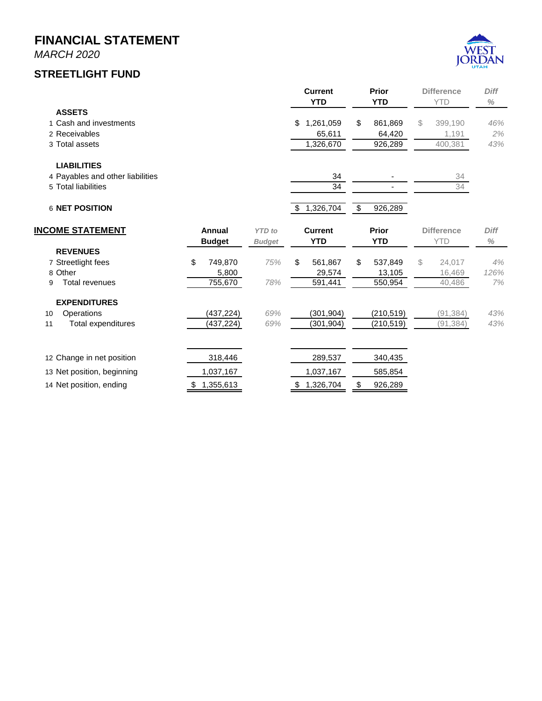*MARCH 2020*

#### **STREETLIGHT FUND**



|                                  |                 |               | <b>Current</b><br><b>YTD</b> | <b>Prior</b><br><b>YTD</b> | <b>Difference</b><br><b>YTD</b> | <b>Diff</b><br>$\%$ |
|----------------------------------|-----------------|---------------|------------------------------|----------------------------|---------------------------------|---------------------|
| <b>ASSETS</b>                    |                 |               |                              |                            |                                 |                     |
| 1 Cash and investments           |                 |               | 1,261,059<br>\$              | 861,869<br>\$              | \$<br>399,190                   | 46%                 |
| 2 Receivables                    |                 |               | 65,611                       | 64,420                     | 1,191                           | 2%                  |
| 3 Total assets                   |                 |               | 1,326,670                    | 926,289                    | 400,381                         | 43%                 |
| <b>LIABILITIES</b>               |                 |               |                              |                            |                                 |                     |
| 4 Payables and other liabilities |                 |               | 34                           |                            | 34                              |                     |
| 5 Total liabilities              |                 |               | 34                           |                            | 34                              |                     |
| 6 NET POSITION                   |                 |               | 1,326,704<br>\$              | 926,289<br>\$              |                                 |                     |
| <b>INCOME STATEMENT</b>          | Annual          | <b>YTD</b> to | <b>Current</b>               | Prior                      | <b>Difference</b>               | <b>Diff</b>         |
|                                  | <b>Budget</b>   | <b>Budget</b> | <b>YTD</b>                   | <b>YTD</b>                 | <b>YTD</b>                      | $\%$                |
| <b>REVENUES</b>                  |                 |               |                              |                            |                                 |                     |
| 7 Streetlight fees               | \$<br>749.870   | 75%           | \$<br>561.867                | 537.849<br>\$              | \$<br>24.017                    | 4%                  |
| 8 Other                          | 5,800           |               | 29,574                       | 13,105                     | 16,469                          | 126%                |
| <b>Total revenues</b><br>9       | 755,670         | 78%           | 591,441                      | 550,954                    | 40,486                          | 7%                  |
| <b>EXPENDITURES</b>              |                 |               |                              |                            |                                 |                     |
| Operations<br>10                 | (437, 224)      | 69%           | (301, 904)                   | (210, 519)                 | (91, 384)                       | 43%                 |
| Total expenditures<br>11         | (437,224)       | 69%           | (301, 904)                   | (210, 519)                 | (91, 384)                       | 43%                 |
| 12 Change in net position        | 318,446         |               | 289,537                      | 340,435                    |                                 |                     |
|                                  |                 |               |                              |                            |                                 |                     |
| 13 Net position, beginning       | 1,037,167       |               | 1,037,167                    | 585,854                    |                                 |                     |
| 14 Net position, ending          | 1,355,613<br>\$ |               | 1,326,704<br>\$              | \$<br>926,289              |                                 |                     |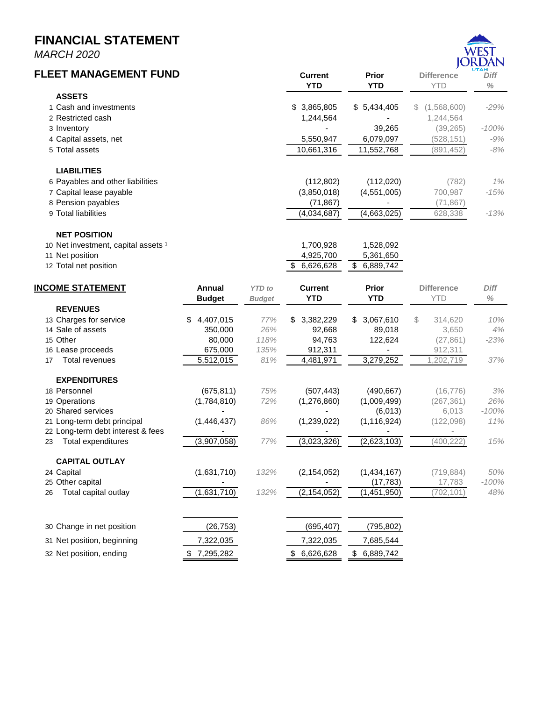*MARCH 2020*

#### DAN **FLEET MANAGEMENT FUND Current Prior Difference** *Diff* **YTD YTD** YTD *%* **ASSETS** 1 Cash and investments \$ 3,865,805 \$ 5,434,405 \$ (1,568,600) *-29%* 2 Restricted cash 2008 and 2008 and 2008 1,244,564 and 2008 and 2012 1,244,564 and 2013 1,244,564 and 2013 1,244,564 3 Inventory - 39,265 (39,265) *-100%* 4 Capital assets, net 5,550,947 6,079,097 (528,151) *-9%* 5 Total assets 10,661,316 11,552,768 (891,452) *-8%* **LIABILITIES** 6 Payables and other liabilities (112,802) (112,020) (782) *1%* 7 Capital lease payable (3,850,018) (4,551,005) 700,987 *-15%* 8 Pension payables (71,867) - (71,867) 9 Total liabilities (4,034,687) (4,663,025) 628,338 *-13%* **NET POSITION** 10 Net investment, capital assets 1 100 net 1,700,928 1,528,092 11 Net position 4,925,700 5,361,650 12 Total net position **12 Total net position 12 Total net position 12 Total net position INCOME STATEMENT Annual** *YTD to* **Current Prior Difference** *Diff* **Budget** *Budget* **YTD YTD** YTD *%* **REVENUES** 13 Charges for service \$ 4,407,015 *77%* \$ 3,382,229 \$ 3,067,610 \$ 314,620 *10%* 14 Sale of assets 350,000 *26%* 92,668 89,018 3,650 *4%* 15 Other 80,000 *118%* 94,763 122,624 (27,861) *-23%* 16 Lease proceeds 675,000 *135%* 912,311 - 912,311 17 Total revenues 5,512,015 *81%* 4,481,971 3,279,252 1,202,719 *37%* **EXPENDITURES** 18 Personnel (675,811) *75%* (507,443) (490,667) (16,776) *3%* 19 Operations (1,784,810) *72%* (1,276,860) (1,009,499) (267,361) *26%* 20 Shared services - - (6,013) 6,013 *-100%* 21 Long-term debt principal (1,446,437) *86%* (1,239,022) (1,116,924) (122,098) *11%* 22 Long-term debt interest & fees 23 Total expenditures (3,907,058) *77%* (3,023,326) (2,623,103) (400,222) *15%* **CAPITAL OUTLAY** 24 Capital (1,631,710) *132%* (2,154,052) (1,434,167) (719,884) *50%* 25 Other capital - - (17,783) 17,783 *-100%* 26 Total capital outlay (1,631,710) *132%* (2,154,052) (1,451,950) (702,101) *48%* 30 Change in net position (26,753) (695,407) (795,802) 31 Net position, beginning 7,322,035 7,322,035 7,685,544 32 Net position, ending \$ 7,295,282 \$ 6,626,628 \$ 6,889,742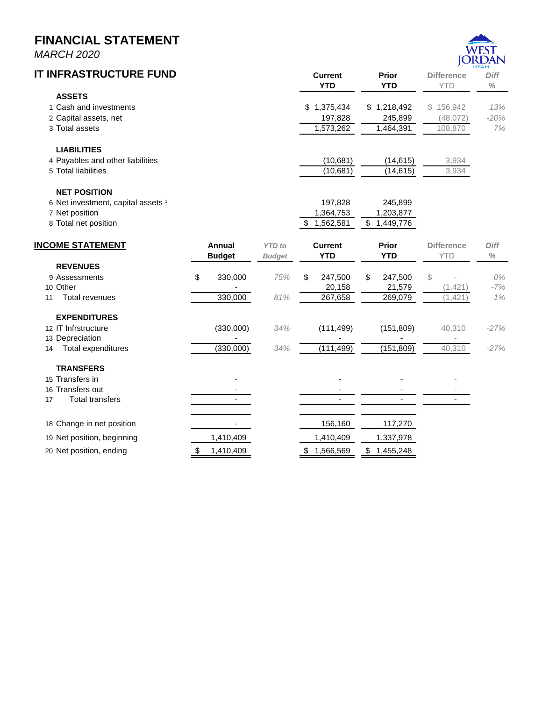*MARCH 2020*